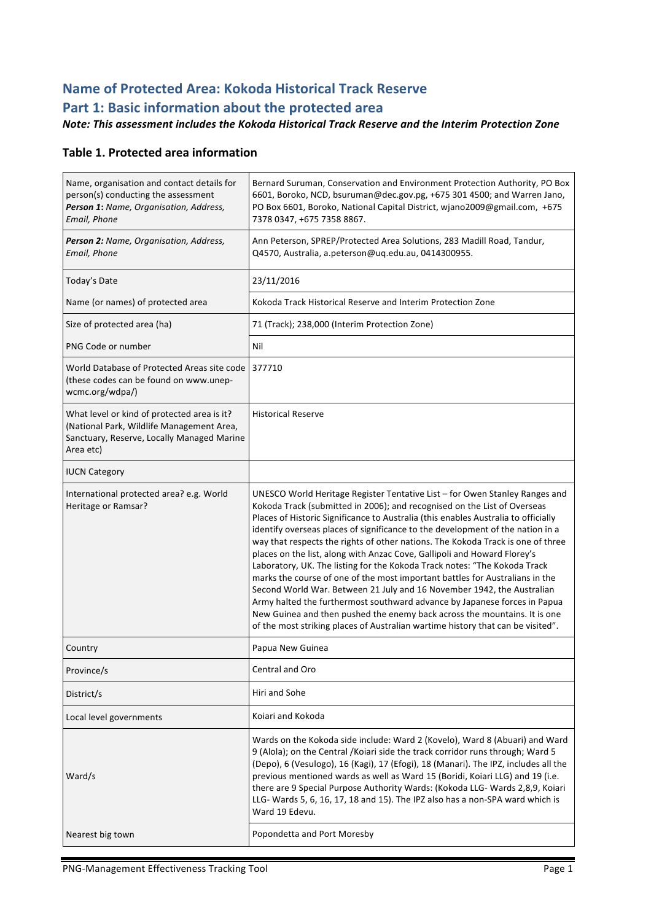# **Name of Protected Area: Kokoda Historical Track Reserve** Part 1: Basic information about the protected area

#### *Note: This assessment includes the Kokoda Historical Track Reserve and the Interim Protection Zone*

#### **Table 1. Protected area information**

| Name, organisation and contact details for<br>person(s) conducting the assessment<br>Person 1: Name, Organisation, Address,<br>Email, Phone         | Bernard Suruman, Conservation and Environment Protection Authority, PO Box<br>6601, Boroko, NCD, bsuruman@dec.gov.pg, +675 301 4500; and Warren Jano,<br>PO Box 6601, Boroko, National Capital District, wjano2009@gmail.com, +675<br>7378 0347, +675 7358 8867.                                                                                                                                                                                                                                                                                                                                                                                                                                                                                                                                                                                                                                                                                                                   |  |
|-----------------------------------------------------------------------------------------------------------------------------------------------------|------------------------------------------------------------------------------------------------------------------------------------------------------------------------------------------------------------------------------------------------------------------------------------------------------------------------------------------------------------------------------------------------------------------------------------------------------------------------------------------------------------------------------------------------------------------------------------------------------------------------------------------------------------------------------------------------------------------------------------------------------------------------------------------------------------------------------------------------------------------------------------------------------------------------------------------------------------------------------------|--|
| Person 2: Name, Organisation, Address,<br>Email, Phone                                                                                              | Ann Peterson, SPREP/Protected Area Solutions, 283 Madill Road, Tandur,<br>Q4570, Australia, a.peterson@uq.edu.au, 0414300955.                                                                                                                                                                                                                                                                                                                                                                                                                                                                                                                                                                                                                                                                                                                                                                                                                                                      |  |
| Today's Date                                                                                                                                        | 23/11/2016                                                                                                                                                                                                                                                                                                                                                                                                                                                                                                                                                                                                                                                                                                                                                                                                                                                                                                                                                                         |  |
| Name (or names) of protected area                                                                                                                   | Kokoda Track Historical Reserve and Interim Protection Zone                                                                                                                                                                                                                                                                                                                                                                                                                                                                                                                                                                                                                                                                                                                                                                                                                                                                                                                        |  |
| Size of protected area (ha)                                                                                                                         | 71 (Track); 238,000 (Interim Protection Zone)                                                                                                                                                                                                                                                                                                                                                                                                                                                                                                                                                                                                                                                                                                                                                                                                                                                                                                                                      |  |
| PNG Code or number                                                                                                                                  | Nil                                                                                                                                                                                                                                                                                                                                                                                                                                                                                                                                                                                                                                                                                                                                                                                                                                                                                                                                                                                |  |
| World Database of Protected Areas site code 1377710<br>(these codes can be found on www.unep-<br>wcmc.org/wdpa/)                                    |                                                                                                                                                                                                                                                                                                                                                                                                                                                                                                                                                                                                                                                                                                                                                                                                                                                                                                                                                                                    |  |
| What level or kind of protected area is it?<br>(National Park, Wildlife Management Area,<br>Sanctuary, Reserve, Locally Managed Marine<br>Area etc) | <b>Historical Reserve</b>                                                                                                                                                                                                                                                                                                                                                                                                                                                                                                                                                                                                                                                                                                                                                                                                                                                                                                                                                          |  |
| <b>IUCN Category</b>                                                                                                                                |                                                                                                                                                                                                                                                                                                                                                                                                                                                                                                                                                                                                                                                                                                                                                                                                                                                                                                                                                                                    |  |
| International protected area? e.g. World<br>Heritage or Ramsar?                                                                                     | UNESCO World Heritage Register Tentative List – for Owen Stanley Ranges and<br>Kokoda Track (submitted in 2006); and recognised on the List of Overseas<br>Places of Historic Significance to Australia (this enables Australia to officially<br>identify overseas places of significance to the development of the nation in a<br>way that respects the rights of other nations. The Kokoda Track is one of three<br>places on the list, along with Anzac Cove, Gallipoli and Howard Florey's<br>Laboratory, UK. The listing for the Kokoda Track notes: "The Kokoda Track<br>marks the course of one of the most important battles for Australians in the<br>Second World War. Between 21 July and 16 November 1942, the Australian<br>Army halted the furthermost southward advance by Japanese forces in Papua<br>New Guinea and then pushed the enemy back across the mountains. It is one<br>of the most striking places of Australian wartime history that can be visited". |  |
| Country                                                                                                                                             | Papua New Guinea                                                                                                                                                                                                                                                                                                                                                                                                                                                                                                                                                                                                                                                                                                                                                                                                                                                                                                                                                                   |  |
| Province/s                                                                                                                                          | Central and Oro                                                                                                                                                                                                                                                                                                                                                                                                                                                                                                                                                                                                                                                                                                                                                                                                                                                                                                                                                                    |  |
| District/s                                                                                                                                          | Hiri and Sohe                                                                                                                                                                                                                                                                                                                                                                                                                                                                                                                                                                                                                                                                                                                                                                                                                                                                                                                                                                      |  |
| Local level governments                                                                                                                             | Koiari and Kokoda                                                                                                                                                                                                                                                                                                                                                                                                                                                                                                                                                                                                                                                                                                                                                                                                                                                                                                                                                                  |  |
| Ward/s                                                                                                                                              | Wards on the Kokoda side include: Ward 2 (Kovelo), Ward 8 (Abuari) and Ward<br>9 (Alola); on the Central / Koiari side the track corridor runs through; Ward 5<br>(Depo), 6 (Vesulogo), 16 (Kagi), 17 (Efogi), 18 (Manari). The IPZ, includes all the<br>previous mentioned wards as well as Ward 15 (Boridi, Koiari LLG) and 19 (i.e.<br>there are 9 Special Purpose Authority Wards: (Kokoda LLG- Wards 2,8,9, Koiari<br>LLG- Wards 5, 6, 16, 17, 18 and 15). The IPZ also has a non-SPA ward which is<br>Ward 19 Edevu.                                                                                                                                                                                                                                                                                                                                                                                                                                                         |  |
| Nearest big town                                                                                                                                    | Popondetta and Port Moresby                                                                                                                                                                                                                                                                                                                                                                                                                                                                                                                                                                                                                                                                                                                                                                                                                                                                                                                                                        |  |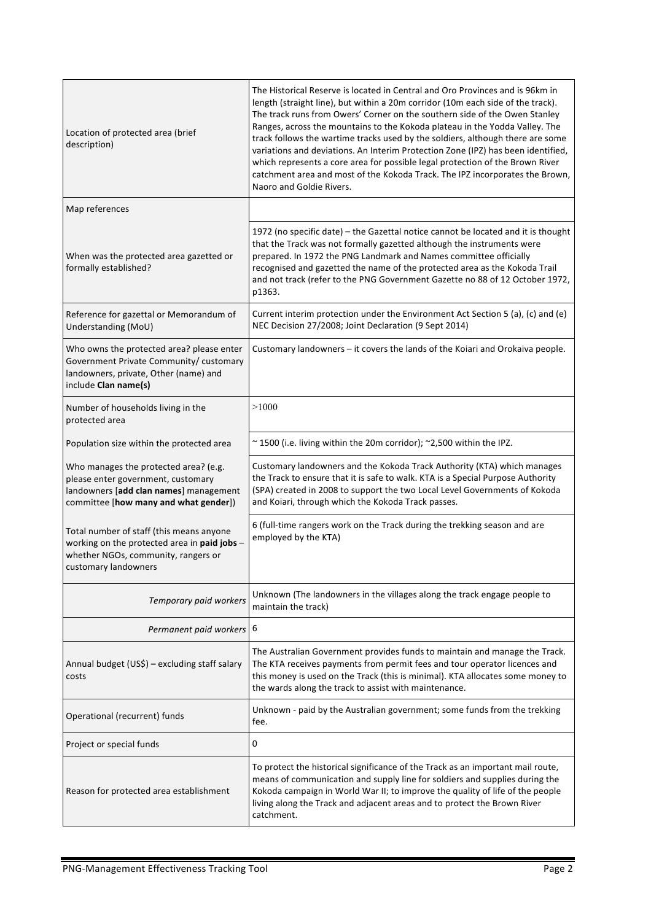| Location of protected area (brief<br>description)                                                                                                              | The Historical Reserve is located in Central and Oro Provinces and is 96km in<br>length (straight line), but within a 20m corridor (10m each side of the track).<br>The track runs from Owers' Corner on the southern side of the Owen Stanley<br>Ranges, across the mountains to the Kokoda plateau in the Yodda Valley. The<br>track follows the wartime tracks used by the soldiers, although there are some<br>variations and deviations. An Interim Protection Zone (IPZ) has been identified,<br>which represents a core area for possible legal protection of the Brown River<br>catchment area and most of the Kokoda Track. The IPZ incorporates the Brown,<br>Naoro and Goldie Rivers. |
|----------------------------------------------------------------------------------------------------------------------------------------------------------------|--------------------------------------------------------------------------------------------------------------------------------------------------------------------------------------------------------------------------------------------------------------------------------------------------------------------------------------------------------------------------------------------------------------------------------------------------------------------------------------------------------------------------------------------------------------------------------------------------------------------------------------------------------------------------------------------------|
| Map references                                                                                                                                                 |                                                                                                                                                                                                                                                                                                                                                                                                                                                                                                                                                                                                                                                                                                  |
| When was the protected area gazetted or<br>formally established?                                                                                               | 1972 (no specific date) – the Gazettal notice cannot be located and it is thought<br>that the Track was not formally gazetted although the instruments were<br>prepared. In 1972 the PNG Landmark and Names committee officially<br>recognised and gazetted the name of the protected area as the Kokoda Trail<br>and not track (refer to the PNG Government Gazette no 88 of 12 October 1972,<br>p1363.                                                                                                                                                                                                                                                                                         |
| Reference for gazettal or Memorandum of<br>Understanding (MoU)                                                                                                 | Current interim protection under the Environment Act Section 5 (a), (c) and (e)<br>NEC Decision 27/2008; Joint Declaration (9 Sept 2014)                                                                                                                                                                                                                                                                                                                                                                                                                                                                                                                                                         |
| Who owns the protected area? please enter<br>Government Private Community/ customary<br>landowners, private, Other (name) and<br>include Clan name(s)          | Customary landowners - it covers the lands of the Koiari and Orokaiva people.                                                                                                                                                                                                                                                                                                                                                                                                                                                                                                                                                                                                                    |
| Number of households living in the<br>protected area                                                                                                           | >1000                                                                                                                                                                                                                                                                                                                                                                                                                                                                                                                                                                                                                                                                                            |
| Population size within the protected area                                                                                                                      | $\sim$ 1500 (i.e. living within the 20m corridor); $\sim$ 2,500 within the IPZ.                                                                                                                                                                                                                                                                                                                                                                                                                                                                                                                                                                                                                  |
| Who manages the protected area? (e.g.<br>please enter government, customary<br>landowners [add clan names] management<br>committee [how many and what gender]) | Customary landowners and the Kokoda Track Authority (KTA) which manages<br>the Track to ensure that it is safe to walk. KTA is a Special Purpose Authority<br>(SPA) created in 2008 to support the two Local Level Governments of Kokoda<br>and Koiari, through which the Kokoda Track passes.                                                                                                                                                                                                                                                                                                                                                                                                   |
| Total number of staff (this means anyone<br>working on the protected area in paid jobs -<br>whether NGOs, community, rangers or<br>customary landowners        | 6 (full-time rangers work on the Track during the trekking season and are<br>employed by the KTA)                                                                                                                                                                                                                                                                                                                                                                                                                                                                                                                                                                                                |
| Temporary paid workers                                                                                                                                         | Unknown (The landowners in the villages along the track engage people to<br>maintain the track)                                                                                                                                                                                                                                                                                                                                                                                                                                                                                                                                                                                                  |
| Permanent paid workers 6                                                                                                                                       |                                                                                                                                                                                                                                                                                                                                                                                                                                                                                                                                                                                                                                                                                                  |
| Annual budget (US\$) - excluding staff salary<br>costs                                                                                                         | The Australian Government provides funds to maintain and manage the Track.<br>The KTA receives payments from permit fees and tour operator licences and<br>this money is used on the Track (this is minimal). KTA allocates some money to<br>the wards along the track to assist with maintenance.                                                                                                                                                                                                                                                                                                                                                                                               |
| Operational (recurrent) funds                                                                                                                                  | Unknown - paid by the Australian government; some funds from the trekking<br>fee.                                                                                                                                                                                                                                                                                                                                                                                                                                                                                                                                                                                                                |
| Project or special funds                                                                                                                                       | 0                                                                                                                                                                                                                                                                                                                                                                                                                                                                                                                                                                                                                                                                                                |
| Reason for protected area establishment                                                                                                                        | To protect the historical significance of the Track as an important mail route,<br>means of communication and supply line for soldiers and supplies during the<br>Kokoda campaign in World War II; to improve the quality of life of the people<br>living along the Track and adjacent areas and to protect the Brown River<br>catchment.                                                                                                                                                                                                                                                                                                                                                        |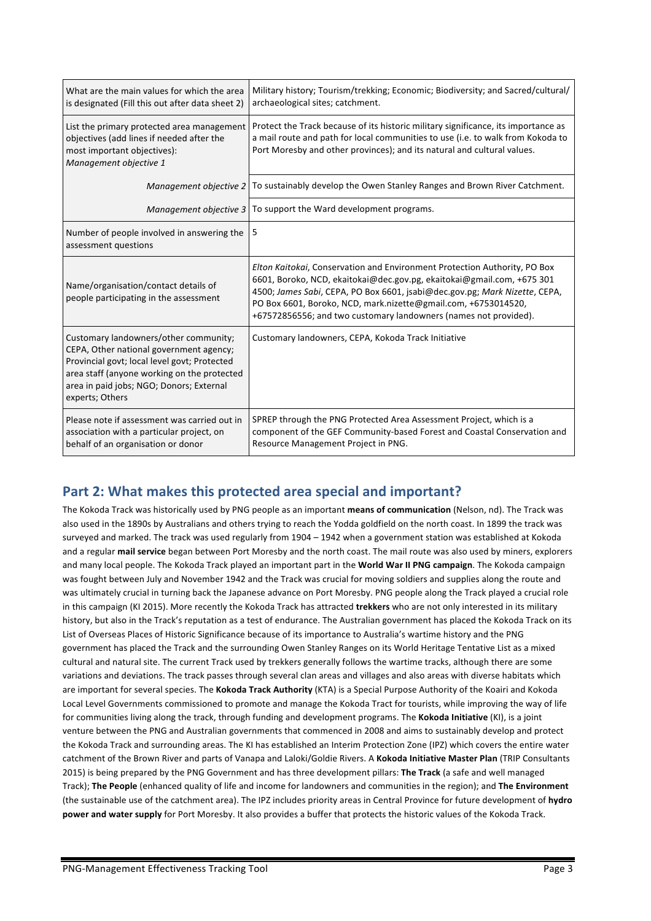| What are the main values for which the area<br>is designated (Fill this out after data sheet 2)                                                                                                                                                | Military history; Tourism/trekking; Economic; Biodiversity; and Sacred/cultural/<br>archaeological sites; catchment.                                                                                                                                                                                                                                                    |
|------------------------------------------------------------------------------------------------------------------------------------------------------------------------------------------------------------------------------------------------|-------------------------------------------------------------------------------------------------------------------------------------------------------------------------------------------------------------------------------------------------------------------------------------------------------------------------------------------------------------------------|
| List the primary protected area management<br>objectives (add lines if needed after the<br>most important objectives):<br>Management objective 1                                                                                               | Protect the Track because of its historic military significance, its importance as<br>a mail route and path for local communities to use (i.e. to walk from Kokoda to<br>Port Moresby and other provinces); and its natural and cultural values.                                                                                                                        |
|                                                                                                                                                                                                                                                | Management objective 2   To sustainably develop the Owen Stanley Ranges and Brown River Catchment.                                                                                                                                                                                                                                                                      |
|                                                                                                                                                                                                                                                | Management objective $3$ To support the Ward development programs.                                                                                                                                                                                                                                                                                                      |
| Number of people involved in answering the<br>assessment questions                                                                                                                                                                             | 5                                                                                                                                                                                                                                                                                                                                                                       |
| Name/organisation/contact details of<br>people participating in the assessment                                                                                                                                                                 | Elton Kaitokai, Conservation and Environment Protection Authority, PO Box<br>6601, Boroko, NCD, ekaitokai@dec.gov.pg, ekaitokai@gmail.com, +675 301<br>4500; James Sabi, CEPA, PO Box 6601, jsabi@dec.gov.pg; Mark Nizette, CEPA,<br>PO Box 6601, Boroko, NCD, mark.nizette@gmail.com, +6753014520,<br>+67572856556; and two customary landowners (names not provided). |
| Customary landowners/other community;<br>CEPA, Other national government agency;<br>Provincial govt; local level govt; Protected<br>area staff (anyone working on the protected<br>area in paid jobs; NGO; Donors; External<br>experts; Others | Customary landowners, CEPA, Kokoda Track Initiative                                                                                                                                                                                                                                                                                                                     |
| Please note if assessment was carried out in<br>association with a particular project, on<br>behalf of an organisation or donor                                                                                                                | SPREP through the PNG Protected Area Assessment Project, which is a<br>component of the GEF Community-based Forest and Coastal Conservation and<br>Resource Management Project in PNG.                                                                                                                                                                                  |

### **Part 2: What makes this protected area special and important?**

The Kokoda Track was historically used by PNG people as an important means of communication (Nelson, nd). The Track was also used in the 1890s by Australians and others trying to reach the Yodda goldfield on the north coast. In 1899 the track was surveyed and marked. The track was used regularly from 1904 – 1942 when a government station was established at Kokoda and a regular mail service began between Port Moresby and the north coast. The mail route was also used by miners, explorers and many local people. The Kokoda Track played an important part in the **World War II PNG campaign**. The Kokoda campaign was fought between July and November 1942 and the Track was crucial for moving soldiers and supplies along the route and was ultimately crucial in turning back the Japanese advance on Port Moresby. PNG people along the Track played a crucial role in this campaign (KI 2015). More recently the Kokoda Track has attracted **trekkers** who are not only interested in its military history, but also in the Track's reputation as a test of endurance. The Australian government has placed the Kokoda Track on its List of Overseas Places of Historic Significance because of its importance to Australia's wartime history and the PNG government has placed the Track and the surrounding Owen Stanley Ranges on its World Heritage Tentative List as a mixed cultural and natural site. The current Track used by trekkers generally follows the wartime tracks, although there are some variations and deviations. The track passes through several clan areas and villages and also areas with diverse habitats which are important for several species. The **Kokoda Track Authority** (KTA) is a Special Purpose Authority of the Koairi and Kokoda Local Level Governments commissioned to promote and manage the Kokoda Tract for tourists, while improving the way of life for communities living along the track, through funding and development programs. The Kokoda Initiative (KI), is a joint venture between the PNG and Australian governments that commenced in 2008 and aims to sustainably develop and protect the Kokoda Track and surrounding areas. The KI has established an Interim Protection Zone (IPZ) which covers the entire water catchment of the Brown River and parts of Vanapa and Laloki/Goldie Rivers. A Kokoda Initiative Master Plan (TRIP Consultants 2015) is being prepared by the PNG Government and has three development pillars: **The Track** (a safe and well managed Track): **The People** (enhanced quality of life and income for landowners and communities in the region); and The Environment (the sustainable use of the catchment area). The IPZ includes priority areas in Central Province for future development of hydro **power and water supply** for Port Moresby. It also provides a buffer that protects the historic values of the Kokoda Track.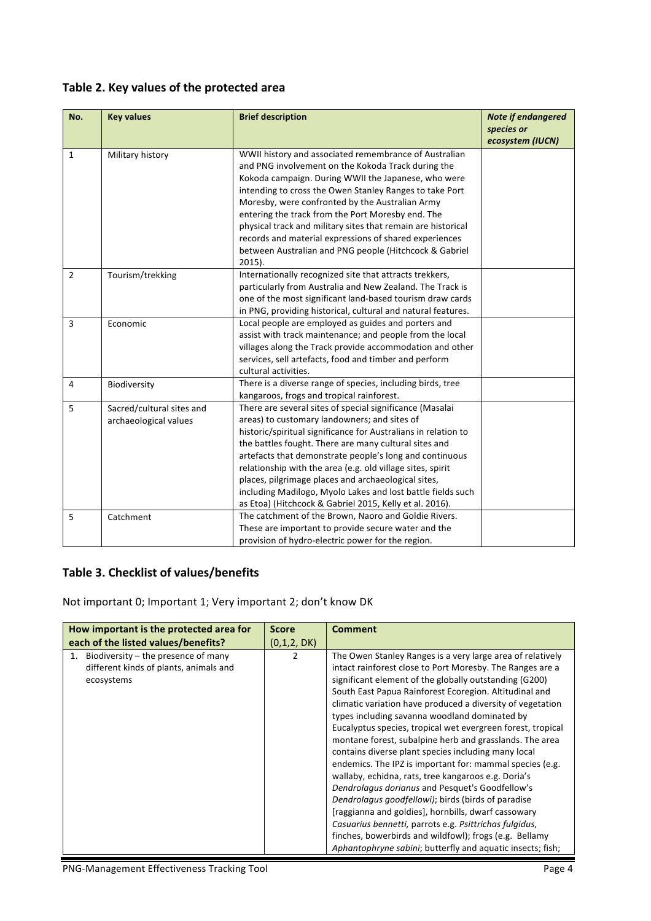#### Table 2. Key values of the protected area

| No.            | <b>Key values</b>         | <b>Brief description</b>                                       | <b>Note if endangered</b><br>species or |
|----------------|---------------------------|----------------------------------------------------------------|-----------------------------------------|
|                |                           |                                                                | ecosystem (IUCN)                        |
| $\mathbf{1}$   | Military history          | WWII history and associated remembrance of Australian          |                                         |
|                |                           | and PNG involvement on the Kokoda Track during the             |                                         |
|                |                           | Kokoda campaign. During WWII the Japanese, who were            |                                         |
|                |                           | intending to cross the Owen Stanley Ranges to take Port        |                                         |
|                |                           | Moresby, were confronted by the Australian Army                |                                         |
|                |                           | entering the track from the Port Moresby end. The              |                                         |
|                |                           | physical track and military sites that remain are historical   |                                         |
|                |                           | records and material expressions of shared experiences         |                                         |
|                |                           | between Australian and PNG people (Hitchcock & Gabriel         |                                         |
|                |                           | $2015$ ).                                                      |                                         |
| $\overline{2}$ | Tourism/trekking          | Internationally recognized site that attracts trekkers,        |                                         |
|                |                           | particularly from Australia and New Zealand. The Track is      |                                         |
|                |                           | one of the most significant land-based tourism draw cards      |                                         |
|                |                           | in PNG, providing historical, cultural and natural features.   |                                         |
| $\overline{3}$ | Economic                  | Local people are employed as guides and porters and            |                                         |
|                |                           | assist with track maintenance; and people from the local       |                                         |
|                |                           | villages along the Track provide accommodation and other       |                                         |
|                |                           | services, sell artefacts, food and timber and perform          |                                         |
|                |                           | cultural activities.                                           |                                         |
| 4              | Biodiversity              | There is a diverse range of species, including birds, tree     |                                         |
|                |                           | kangaroos, frogs and tropical rainforest.                      |                                         |
| 5              | Sacred/cultural sites and | There are several sites of special significance (Masalai       |                                         |
|                | archaeological values     | areas) to customary landowners; and sites of                   |                                         |
|                |                           | historic/spiritual significance for Australians in relation to |                                         |
|                |                           | the battles fought. There are many cultural sites and          |                                         |
|                |                           | artefacts that demonstrate people's long and continuous        |                                         |
|                |                           | relationship with the area (e.g. old village sites, spirit     |                                         |
|                |                           | places, pilgrimage places and archaeological sites,            |                                         |
|                |                           | including Madilogo, Myolo Lakes and lost battle fields such    |                                         |
|                |                           | as Etoa) (Hitchcock & Gabriel 2015, Kelly et al. 2016).        |                                         |
| 5              | Catchment                 | The catchment of the Brown, Naoro and Goldie Rivers.           |                                         |
|                |                           | These are important to provide secure water and the            |                                         |
|                |                           | provision of hydro-electric power for the region.              |                                         |

#### **Table 3. Checklist of values/benefits**

Not important 0; Important 1; Very important 2; don't know DK

| How important is the protected area for   | <b>Score</b> | <b>Comment</b>                                              |
|-------------------------------------------|--------------|-------------------------------------------------------------|
| each of the listed values/benefits?       | (0,1,2, DK)  |                                                             |
| Biodiversity – the presence of many<br>1. | 2            | The Owen Stanley Ranges is a very large area of relatively  |
| different kinds of plants, animals and    |              | intact rainforest close to Port Moresby. The Ranges are a   |
| ecosystems                                |              | significant element of the globally outstanding (G200)      |
|                                           |              | South East Papua Rainforest Ecoregion. Altitudinal and      |
|                                           |              | climatic variation have produced a diversity of vegetation  |
|                                           |              | types including savanna woodland dominated by               |
|                                           |              | Eucalyptus species, tropical wet evergreen forest, tropical |
|                                           |              | montane forest, subalpine herb and grasslands. The area     |
|                                           |              | contains diverse plant species including many local         |
|                                           |              | endemics. The IPZ is important for: mammal species (e.g.    |
|                                           |              | wallaby, echidna, rats, tree kangaroos e.g. Doria's         |
|                                           |              | Dendrolagus dorianus and Pesquet's Goodfellow's             |
|                                           |              | Dendrolagus goodfellowi); birds (birds of paradise          |
|                                           |              | [raggianna and goldies], hornbills, dwarf cassowary         |
|                                           |              | Casuarius bennetti, parrots e.g. Psittrichas fulgidus,      |
|                                           |              | finches, bowerbirds and wildfowl); frogs (e.g. Bellamy      |
|                                           |              | Aphantophryne sabini; butterfly and aquatic insects; fish;  |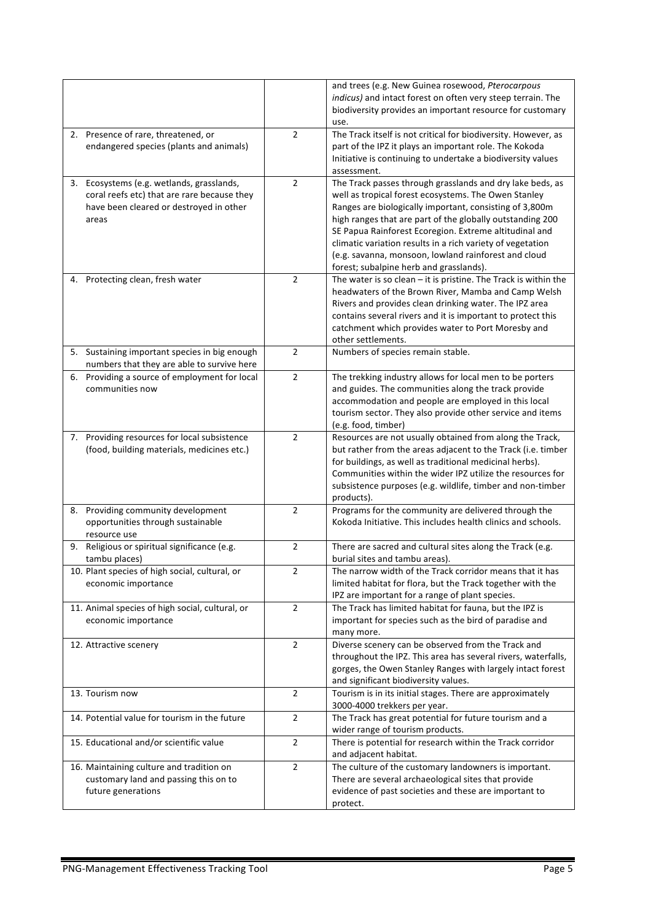|                                                                                                                                              |                | and trees (e.g. New Guinea rosewood, Pterocarpous<br>indicus) and intact forest on often very steep terrain. The<br>biodiversity provides an important resource for customary<br>use.                                                                                                                                                                                                                                                                                |
|----------------------------------------------------------------------------------------------------------------------------------------------|----------------|----------------------------------------------------------------------------------------------------------------------------------------------------------------------------------------------------------------------------------------------------------------------------------------------------------------------------------------------------------------------------------------------------------------------------------------------------------------------|
| 2. Presence of rare, threatened, or                                                                                                          | $\overline{2}$ | The Track itself is not critical for biodiversity. However, as                                                                                                                                                                                                                                                                                                                                                                                                       |
| endangered species (plants and animals)                                                                                                      |                | part of the IPZ it plays an important role. The Kokoda<br>Initiative is continuing to undertake a biodiversity values<br>assessment.                                                                                                                                                                                                                                                                                                                                 |
| 3. Ecosystems (e.g. wetlands, grasslands,<br>coral reefs etc) that are rare because they<br>have been cleared or destroyed in other<br>areas | $\overline{2}$ | The Track passes through grasslands and dry lake beds, as<br>well as tropical forest ecosystems. The Owen Stanley<br>Ranges are biologically important, consisting of 3,800m<br>high ranges that are part of the globally outstanding 200<br>SE Papua Rainforest Ecoregion. Extreme altitudinal and<br>climatic variation results in a rich variety of vegetation<br>(e.g. savanna, monsoon, lowland rainforest and cloud<br>forest; subalpine herb and grasslands). |
| 4. Protecting clean, fresh water                                                                                                             | $\overline{2}$ | The water is so clean $-$ it is pristine. The Track is within the<br>headwaters of the Brown River, Mamba and Camp Welsh<br>Rivers and provides clean drinking water. The IPZ area<br>contains several rivers and it is important to protect this<br>catchment which provides water to Port Moresby and<br>other settlements.                                                                                                                                        |
| 5. Sustaining important species in big enough<br>numbers that they are able to survive here                                                  | $\overline{2}$ | Numbers of species remain stable.                                                                                                                                                                                                                                                                                                                                                                                                                                    |
| 6. Providing a source of employment for local<br>communities now                                                                             | $\overline{2}$ | The trekking industry allows for local men to be porters<br>and guides. The communities along the track provide<br>accommodation and people are employed in this local<br>tourism sector. They also provide other service and items<br>(e.g. food, timber)                                                                                                                                                                                                           |
| 7. Providing resources for local subsistence<br>(food, building materials, medicines etc.)                                                   | $\overline{2}$ | Resources are not usually obtained from along the Track,<br>but rather from the areas adjacent to the Track (i.e. timber<br>for buildings, as well as traditional medicinal herbs).<br>Communities within the wider IPZ utilize the resources for<br>subsistence purposes (e.g. wildlife, timber and non-timber<br>products).                                                                                                                                        |
| 8. Providing community development<br>opportunities through sustainable<br>resource use                                                      | $\overline{2}$ | Programs for the community are delivered through the<br>Kokoda Initiative. This includes health clinics and schools.                                                                                                                                                                                                                                                                                                                                                 |
| Religious or spiritual significance (e.g.<br>9.<br>tambu places)                                                                             | $\overline{2}$ | There are sacred and cultural sites along the Track (e.g.<br>burial sites and tambu areas).                                                                                                                                                                                                                                                                                                                                                                          |
| 10. Plant species of high social, cultural, or<br>economic importance                                                                        | 2              | The narrow width of the Track corridor means that it has<br>limited habitat for flora, but the Track together with the<br>IPZ are important for a range of plant species.                                                                                                                                                                                                                                                                                            |
| 11. Animal species of high social, cultural, or<br>economic importance                                                                       | $\overline{2}$ | The Track has limited habitat for fauna, but the IPZ is<br>important for species such as the bird of paradise and<br>many more.                                                                                                                                                                                                                                                                                                                                      |
| 12. Attractive scenery                                                                                                                       | $\overline{2}$ | Diverse scenery can be observed from the Track and<br>throughout the IPZ. This area has several rivers, waterfalls,<br>gorges, the Owen Stanley Ranges with largely intact forest<br>and significant biodiversity values.                                                                                                                                                                                                                                            |
| 13. Tourism now                                                                                                                              | $\overline{2}$ | Tourism is in its initial stages. There are approximately<br>3000-4000 trekkers per year.                                                                                                                                                                                                                                                                                                                                                                            |
| 14. Potential value for tourism in the future                                                                                                | $\overline{2}$ | The Track has great potential for future tourism and a<br>wider range of tourism products.                                                                                                                                                                                                                                                                                                                                                                           |
| 15. Educational and/or scientific value                                                                                                      | $\overline{2}$ | There is potential for research within the Track corridor<br>and adjacent habitat.                                                                                                                                                                                                                                                                                                                                                                                   |
| 16. Maintaining culture and tradition on<br>customary land and passing this on to<br>future generations                                      | $\overline{2}$ | The culture of the customary landowners is important.<br>There are several archaeological sites that provide<br>evidence of past societies and these are important to<br>protect.                                                                                                                                                                                                                                                                                    |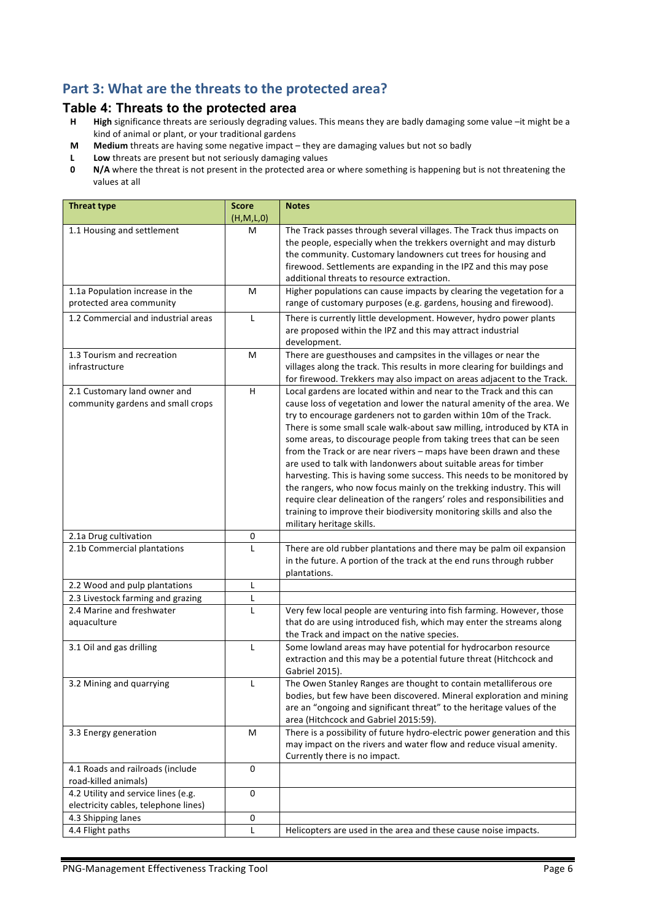# Part 3: What are the threats to the protected area?

# **Table 4: Threats to the protected area**<br>**H** High significance threats are seriously degrading va

- High significance threats are seriously degrading values. This means they are badly damaging some value -it might be a kind of animal or plant, or your traditional gardens
- **M** Medium threats are having some negative impact they are damaging values but not so badly
- **L** Low threats are present but not seriously damaging values<br>**0** N/A where the threat is not present in the protected area of
- **N/A** where the threat is not present in the protected area or where something is happening but is not threatening the values at all

| <b>Threat type</b>                                                | <b>Score</b><br>(H,M,L,0) | <b>Notes</b>                                                                                                                                                                                                                                                                                                                                                                                                                                                                                                                                                                                                                                                                                                                                                                                                                                       |
|-------------------------------------------------------------------|---------------------------|----------------------------------------------------------------------------------------------------------------------------------------------------------------------------------------------------------------------------------------------------------------------------------------------------------------------------------------------------------------------------------------------------------------------------------------------------------------------------------------------------------------------------------------------------------------------------------------------------------------------------------------------------------------------------------------------------------------------------------------------------------------------------------------------------------------------------------------------------|
| 1.1 Housing and settlement                                        | м                         | The Track passes through several villages. The Track thus impacts on<br>the people, especially when the trekkers overnight and may disturb<br>the community. Customary landowners cut trees for housing and<br>firewood. Settlements are expanding in the IPZ and this may pose<br>additional threats to resource extraction.                                                                                                                                                                                                                                                                                                                                                                                                                                                                                                                      |
| 1.1a Population increase in the                                   | M                         | Higher populations can cause impacts by clearing the vegetation for a                                                                                                                                                                                                                                                                                                                                                                                                                                                                                                                                                                                                                                                                                                                                                                              |
| protected area community                                          |                           | range of customary purposes (e.g. gardens, housing and firewood).                                                                                                                                                                                                                                                                                                                                                                                                                                                                                                                                                                                                                                                                                                                                                                                  |
| 1.2 Commercial and industrial areas                               | L                         | There is currently little development. However, hydro power plants<br>are proposed within the IPZ and this may attract industrial<br>development.                                                                                                                                                                                                                                                                                                                                                                                                                                                                                                                                                                                                                                                                                                  |
| 1.3 Tourism and recreation<br>infrastructure                      | M                         | There are guesthouses and campsites in the villages or near the<br>villages along the track. This results in more clearing for buildings and<br>for firewood. Trekkers may also impact on areas adjacent to the Track.                                                                                                                                                                                                                                                                                                                                                                                                                                                                                                                                                                                                                             |
| 2.1 Customary land owner and<br>community gardens and small crops | H                         | Local gardens are located within and near to the Track and this can<br>cause loss of vegetation and lower the natural amenity of the area. We<br>try to encourage gardeners not to garden within 10m of the Track.<br>There is some small scale walk-about saw milling, introduced by KTA in<br>some areas, to discourage people from taking trees that can be seen<br>from the Track or are near rivers - maps have been drawn and these<br>are used to talk with landonwers about suitable areas for timber<br>harvesting. This is having some success. This needs to be monitored by<br>the rangers, who now focus mainly on the trekking industry. This will<br>require clear delineation of the rangers' roles and responsibilities and<br>training to improve their biodiversity monitoring skills and also the<br>military heritage skills. |
| 2.1a Drug cultivation                                             | 0                         |                                                                                                                                                                                                                                                                                                                                                                                                                                                                                                                                                                                                                                                                                                                                                                                                                                                    |
| 2.1b Commercial plantations                                       | L                         | There are old rubber plantations and there may be palm oil expansion<br>in the future. A portion of the track at the end runs through rubber<br>plantations.                                                                                                                                                                                                                                                                                                                                                                                                                                                                                                                                                                                                                                                                                       |
| 2.2 Wood and pulp plantations                                     | Г                         |                                                                                                                                                                                                                                                                                                                                                                                                                                                                                                                                                                                                                                                                                                                                                                                                                                                    |
| 2.3 Livestock farming and grazing                                 | L                         |                                                                                                                                                                                                                                                                                                                                                                                                                                                                                                                                                                                                                                                                                                                                                                                                                                                    |
| 2.4 Marine and freshwater<br>aquaculture                          | L                         | Very few local people are venturing into fish farming. However, those<br>that do are using introduced fish, which may enter the streams along<br>the Track and impact on the native species.                                                                                                                                                                                                                                                                                                                                                                                                                                                                                                                                                                                                                                                       |
| 3.1 Oil and gas drilling                                          | L                         | Some lowland areas may have potential for hydrocarbon resource<br>extraction and this may be a potential future threat (Hitchcock and<br>Gabriel 2015).                                                                                                                                                                                                                                                                                                                                                                                                                                                                                                                                                                                                                                                                                            |
| 3.2 Mining and quarrying                                          | L                         | The Owen Stanley Ranges are thought to contain metalliferous ore<br>bodies, but few have been discovered. Mineral exploration and mining<br>are an "ongoing and significant threat" to the heritage values of the<br>area (Hitchcock and Gabriel 2015:59).                                                                                                                                                                                                                                                                                                                                                                                                                                                                                                                                                                                         |
| 3.3 Energy generation                                             | М                         | There is a possibility of future hydro-electric power generation and this<br>may impact on the rivers and water flow and reduce visual amenity.<br>Currently there is no impact.                                                                                                                                                                                                                                                                                                                                                                                                                                                                                                                                                                                                                                                                   |
| 4.1 Roads and railroads (include<br>road-killed animals)          | $\pmb{0}$                 |                                                                                                                                                                                                                                                                                                                                                                                                                                                                                                                                                                                                                                                                                                                                                                                                                                                    |
| 4.2 Utility and service lines (e.g.                               | $\pmb{0}$                 |                                                                                                                                                                                                                                                                                                                                                                                                                                                                                                                                                                                                                                                                                                                                                                                                                                                    |
| electricity cables, telephone lines)                              |                           |                                                                                                                                                                                                                                                                                                                                                                                                                                                                                                                                                                                                                                                                                                                                                                                                                                                    |
| 4.3 Shipping lanes                                                | $\pmb{0}$                 |                                                                                                                                                                                                                                                                                                                                                                                                                                                                                                                                                                                                                                                                                                                                                                                                                                                    |
| 4.4 Flight paths                                                  | L                         | Helicopters are used in the area and these cause noise impacts.                                                                                                                                                                                                                                                                                                                                                                                                                                                                                                                                                                                                                                                                                                                                                                                    |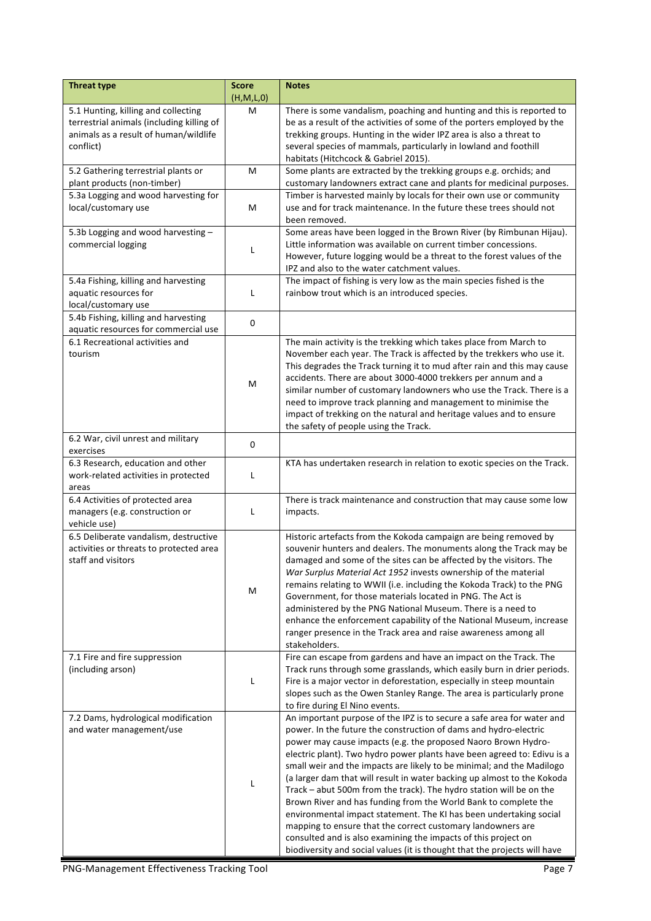| <b>Threat type</b>                                    | <b>Score</b><br>(H, M, L, 0) | <b>Notes</b>                                                                                                                                   |
|-------------------------------------------------------|------------------------------|------------------------------------------------------------------------------------------------------------------------------------------------|
| 5.1 Hunting, killing and collecting                   | M                            | There is some vandalism, poaching and hunting and this is reported to                                                                          |
| terrestrial animals (including killing of             |                              | be as a result of the activities of some of the porters employed by the                                                                        |
| animals as a result of human/wildlife                 |                              | trekking groups. Hunting in the wider IPZ area is also a threat to                                                                             |
| conflict)                                             |                              | several species of mammals, particularly in lowland and foothill<br>habitats (Hitchcock & Gabriel 2015).                                       |
| 5.2 Gathering terrestrial plants or                   | м                            | Some plants are extracted by the trekking groups e.g. orchids; and                                                                             |
| plant products (non-timber)                           |                              | customary landowners extract cane and plants for medicinal purposes.                                                                           |
| 5.3a Logging and wood harvesting for                  |                              | Timber is harvested mainly by locals for their own use or community                                                                            |
| local/customary use                                   | M                            | use and for track maintenance. In the future these trees should not                                                                            |
|                                                       |                              | been removed.                                                                                                                                  |
| 5.3b Logging and wood harvesting -                    |                              | Some areas have been logged in the Brown River (by Rimbunan Hijau).                                                                            |
| commercial logging                                    | L                            | Little information was available on current timber concessions.<br>However, future logging would be a threat to the forest values of the       |
|                                                       |                              | IPZ and also to the water catchment values.                                                                                                    |
| 5.4a Fishing, killing and harvesting                  |                              | The impact of fishing is very low as the main species fished is the                                                                            |
| aquatic resources for                                 | L                            | rainbow trout which is an introduced species.                                                                                                  |
| local/customary use                                   |                              |                                                                                                                                                |
| 5.4b Fishing, killing and harvesting                  | 0                            |                                                                                                                                                |
| aquatic resources for commercial use                  |                              |                                                                                                                                                |
| 6.1 Recreational activities and<br>tourism            |                              | The main activity is the trekking which takes place from March to<br>November each year. The Track is affected by the trekkers who use it.     |
|                                                       |                              | This degrades the Track turning it to mud after rain and this may cause                                                                        |
|                                                       |                              | accidents. There are about 3000-4000 trekkers per annum and a                                                                                  |
|                                                       | M                            | similar number of customary landowners who use the Track. There is a                                                                           |
|                                                       |                              | need to improve track planning and management to minimise the                                                                                  |
|                                                       |                              | impact of trekking on the natural and heritage values and to ensure                                                                            |
|                                                       |                              | the safety of people using the Track.                                                                                                          |
| 6.2 War, civil unrest and military<br>exercises       | $\pmb{0}$                    |                                                                                                                                                |
| 6.3 Research, education and other                     |                              | KTA has undertaken research in relation to exotic species on the Track.                                                                        |
| work-related activities in protected                  | L                            |                                                                                                                                                |
| areas                                                 |                              |                                                                                                                                                |
| 6.4 Activities of protected area                      |                              | There is track maintenance and construction that may cause some low                                                                            |
| managers (e.g. construction or                        | L                            | impacts.                                                                                                                                       |
| vehicle use)<br>6.5 Deliberate vandalism, destructive |                              | Historic artefacts from the Kokoda campaign are being removed by                                                                               |
| activities or threats to protected area               |                              | souvenir hunters and dealers. The monuments along the Track may be                                                                             |
| staff and visitors                                    |                              | damaged and some of the sites can be affected by the visitors. The                                                                             |
|                                                       |                              | War Surplus Material Act 1952 invests ownership of the material                                                                                |
|                                                       | М                            | remains relating to WWII (i.e. including the Kokoda Track) to the PNG                                                                          |
|                                                       |                              | Government, for those materials located in PNG. The Act is                                                                                     |
|                                                       |                              | administered by the PNG National Museum. There is a need to<br>enhance the enforcement capability of the National Museum, increase             |
|                                                       |                              | ranger presence in the Track area and raise awareness among all                                                                                |
|                                                       |                              | stakeholders.                                                                                                                                  |
| 7.1 Fire and fire suppression                         |                              | Fire can escape from gardens and have an impact on the Track. The                                                                              |
| (including arson)                                     |                              | Track runs through some grasslands, which easily burn in drier periods.                                                                        |
|                                                       | L                            | Fire is a major vector in deforestation, especially in steep mountain                                                                          |
|                                                       |                              | slopes such as the Owen Stanley Range. The area is particularly prone<br>to fire during El Nino events.                                        |
| 7.2 Dams, hydrological modification                   |                              | An important purpose of the IPZ is to secure a safe area for water and                                                                         |
| and water management/use                              |                              | power. In the future the construction of dams and hydro-electric                                                                               |
|                                                       |                              | power may cause impacts (e.g. the proposed Naoro Brown Hydro-                                                                                  |
|                                                       |                              | electric plant). Two hydro power plants have been agreed to: Edivu is a                                                                        |
|                                                       |                              | small weir and the impacts are likely to be minimal; and the Madilogo                                                                          |
|                                                       | L                            | (a larger dam that will result in water backing up almost to the Kokoda<br>Track – abut 500m from the track). The hydro station will be on the |
|                                                       |                              | Brown River and has funding from the World Bank to complete the                                                                                |
|                                                       |                              | environmental impact statement. The KI has been undertaking social                                                                             |
|                                                       |                              | mapping to ensure that the correct customary landowners are                                                                                    |
|                                                       |                              | consulted and is also examining the impacts of this project on                                                                                 |
|                                                       |                              | biodiversity and social values (it is thought that the projects will have                                                                      |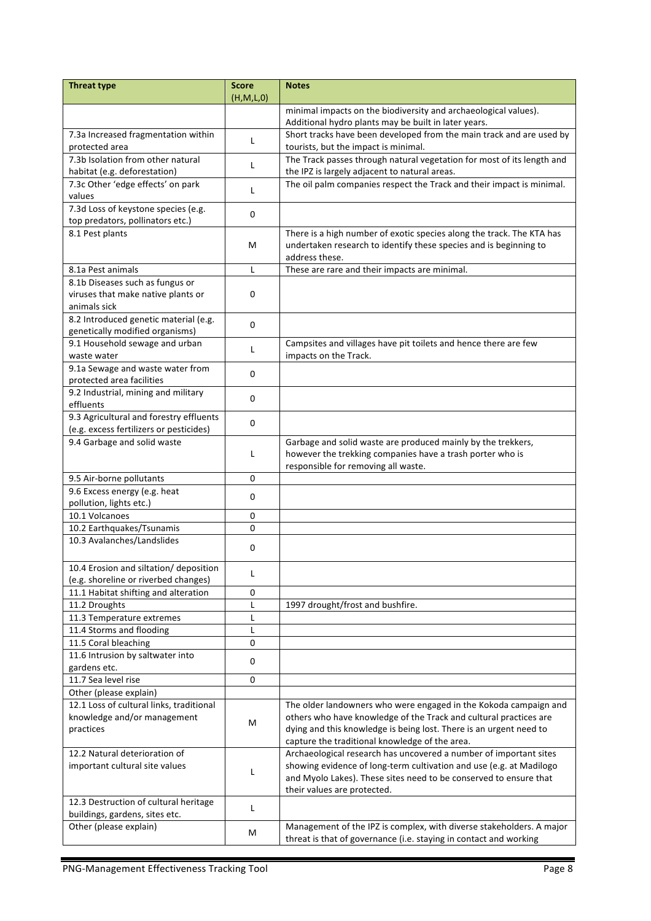| <b>Threat type</b>                                      | <b>Score</b> | <b>Notes</b>                                                                                                                               |  |
|---------------------------------------------------------|--------------|--------------------------------------------------------------------------------------------------------------------------------------------|--|
|                                                         | (H,M,L,0)    |                                                                                                                                            |  |
|                                                         |              | minimal impacts on the biodiversity and archaeological values).<br>Additional hydro plants may be built in later years.                    |  |
| 7.3a Increased fragmentation within                     |              | Short tracks have been developed from the main track and are used by                                                                       |  |
| protected area                                          | L            | tourists, but the impact is minimal.                                                                                                       |  |
| 7.3b Isolation from other natural                       | L            | The Track passes through natural vegetation for most of its length and                                                                     |  |
| habitat (e.g. deforestation)                            |              | the IPZ is largely adjacent to natural areas.                                                                                              |  |
| 7.3c Other 'edge effects' on park                       | L            | The oil palm companies respect the Track and their impact is minimal.                                                                      |  |
| values                                                  |              |                                                                                                                                            |  |
| 7.3d Loss of keystone species (e.g.                     | 0            |                                                                                                                                            |  |
| top predators, pollinators etc.)<br>8.1 Pest plants     |              |                                                                                                                                            |  |
|                                                         | м            | There is a high number of exotic species along the track. The KTA has<br>undertaken research to identify these species and is beginning to |  |
|                                                         |              | address these.                                                                                                                             |  |
| 8.1a Pest animals                                       | L            | These are rare and their impacts are minimal.                                                                                              |  |
| 8.1b Diseases such as fungus or                         |              |                                                                                                                                            |  |
| viruses that make native plants or                      | 0            |                                                                                                                                            |  |
| animals sick                                            |              |                                                                                                                                            |  |
| 8.2 Introduced genetic material (e.g.                   | 0            |                                                                                                                                            |  |
| genetically modified organisms)                         |              |                                                                                                                                            |  |
| 9.1 Household sewage and urban                          | L            | Campsites and villages have pit toilets and hence there are few                                                                            |  |
| waste water<br>9.1a Sewage and waste water from         |              | impacts on the Track.                                                                                                                      |  |
| protected area facilities                               | 0            |                                                                                                                                            |  |
| 9.2 Industrial, mining and military                     |              |                                                                                                                                            |  |
| effluents                                               | 0            |                                                                                                                                            |  |
| 9.3 Agricultural and forestry effluents                 | 0            |                                                                                                                                            |  |
| (e.g. excess fertilizers or pesticides)                 |              |                                                                                                                                            |  |
| 9.4 Garbage and solid waste                             |              | Garbage and solid waste are produced mainly by the trekkers,                                                                               |  |
|                                                         | L            | however the trekking companies have a trash porter who is                                                                                  |  |
|                                                         |              | responsible for removing all waste.                                                                                                        |  |
| 9.5 Air-borne pollutants                                | 0            |                                                                                                                                            |  |
| 9.6 Excess energy (e.g. heat<br>pollution, lights etc.) | 0            |                                                                                                                                            |  |
| 10.1 Volcanoes                                          | 0            |                                                                                                                                            |  |
| 10.2 Earthquakes/Tsunamis                               | $\mathbf 0$  |                                                                                                                                            |  |
| 10.3 Avalanches/Landslides                              |              |                                                                                                                                            |  |
|                                                         | 0            |                                                                                                                                            |  |
| 10.4 Erosion and siltation/ deposition                  |              |                                                                                                                                            |  |
| (e.g. shoreline or riverbed changes)                    | L            |                                                                                                                                            |  |
| 11.1 Habitat shifting and alteration                    | 0            |                                                                                                                                            |  |
| 11.2 Droughts                                           | L            | 1997 drought/frost and bushfire.                                                                                                           |  |
| 11.3 Temperature extremes                               | Г            |                                                                                                                                            |  |
| 11.4 Storms and flooding                                | L            |                                                                                                                                            |  |
| 11.5 Coral bleaching                                    | 0            |                                                                                                                                            |  |
| 11.6 Intrusion by saltwater into<br>gardens etc.        | 0            |                                                                                                                                            |  |
| 11.7 Sea level rise                                     | 0            |                                                                                                                                            |  |
| Other (please explain)                                  |              |                                                                                                                                            |  |
| 12.1 Loss of cultural links, traditional                |              | The older landowners who were engaged in the Kokoda campaign and                                                                           |  |
| knowledge and/or management                             |              | others who have knowledge of the Track and cultural practices are                                                                          |  |
| practices                                               | М            | dying and this knowledge is being lost. There is an urgent need to                                                                         |  |
|                                                         |              | capture the traditional knowledge of the area.                                                                                             |  |
| 12.2 Natural deterioration of                           |              | Archaeological research has uncovered a number of important sites                                                                          |  |
| important cultural site values                          | L            | showing evidence of long-term cultivation and use (e.g. at Madilogo                                                                        |  |
|                                                         |              | and Myolo Lakes). These sites need to be conserved to ensure that                                                                          |  |
| 12.3 Destruction of cultural heritage                   |              | their values are protected.                                                                                                                |  |
| buildings, gardens, sites etc.                          | L            |                                                                                                                                            |  |
| Other (please explain)                                  |              | Management of the IPZ is complex, with diverse stakeholders. A major                                                                       |  |
|                                                         | М            | threat is that of governance (i.e. staying in contact and working                                                                          |  |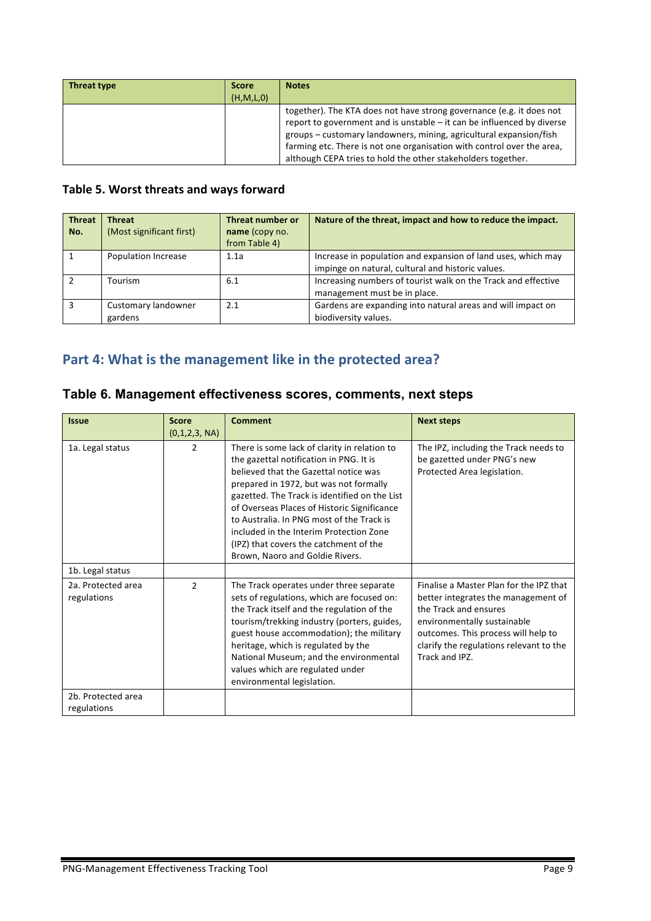| Threat type | <b>Score</b> | <b>Notes</b>                                                                                                                                                                                                                                                                                                                                                   |
|-------------|--------------|----------------------------------------------------------------------------------------------------------------------------------------------------------------------------------------------------------------------------------------------------------------------------------------------------------------------------------------------------------------|
|             | (H, M, L, 0) |                                                                                                                                                                                                                                                                                                                                                                |
|             |              | together). The KTA does not have strong governance (e.g. it does not<br>report to government and is unstable - it can be influenced by diverse<br>groups – customary landowners, mining, agricultural expansion/fish<br>farming etc. There is not one organisation with control over the area,<br>although CEPA tries to hold the other stakeholders together. |

#### Table 5. Worst threats and ways forward

| <b>Threat</b><br>No. | <b>Threat</b><br>(Most significant first) | Threat number or<br>name (copy no.<br>from Table 4) | Nature of the threat, impact and how to reduce the impact.                                                        |
|----------------------|-------------------------------------------|-----------------------------------------------------|-------------------------------------------------------------------------------------------------------------------|
|                      | <b>Population Increase</b>                | 1.1a                                                | Increase in population and expansion of land uses, which may<br>impinge on natural, cultural and historic values. |
|                      | Tourism                                   | 6.1                                                 | Increasing numbers of tourist walk on the Track and effective<br>management must be in place.                     |
|                      | Customary landowner<br>gardens            | 2.1                                                 | Gardens are expanding into natural areas and will impact on<br>biodiversity values.                               |

# Part 4: What is the management like in the protected area?

| <b>Issue</b>                      | <b>Score</b><br>(0,1,2,3, NA) | <b>Comment</b>                                                                                                                                                                                                                                                                                                                                                                                                                                  | <b>Next steps</b>                                                                                                                                                                                                                          |
|-----------------------------------|-------------------------------|-------------------------------------------------------------------------------------------------------------------------------------------------------------------------------------------------------------------------------------------------------------------------------------------------------------------------------------------------------------------------------------------------------------------------------------------------|--------------------------------------------------------------------------------------------------------------------------------------------------------------------------------------------------------------------------------------------|
| 1a. Legal status                  | 2                             | There is some lack of clarity in relation to<br>the gazettal notification in PNG. It is<br>believed that the Gazettal notice was<br>prepared in 1972, but was not formally<br>gazetted. The Track is identified on the List<br>of Overseas Places of Historic Significance<br>to Australia. In PNG most of the Track is<br>included in the Interim Protection Zone<br>(IPZ) that covers the catchment of the<br>Brown, Naoro and Goldie Rivers. | The IPZ, including the Track needs to<br>be gazetted under PNG's new<br>Protected Area legislation.                                                                                                                                        |
| 1b. Legal status                  |                               |                                                                                                                                                                                                                                                                                                                                                                                                                                                 |                                                                                                                                                                                                                                            |
| 2a. Protected area<br>regulations | $\mathfrak{p}$                | The Track operates under three separate<br>sets of regulations, which are focused on:<br>the Track itself and the regulation of the<br>tourism/trekking industry (porters, guides,<br>guest house accommodation); the military<br>heritage, which is regulated by the<br>National Museum; and the environmental<br>values which are regulated under<br>environmental legislation.                                                               | Finalise a Master Plan for the IPZ that<br>better integrates the management of<br>the Track and ensures<br>environmentally sustainable<br>outcomes. This process will help to<br>clarify the regulations relevant to the<br>Track and IPZ. |
| 2b. Protected area<br>regulations |                               |                                                                                                                                                                                                                                                                                                                                                                                                                                                 |                                                                                                                                                                                                                                            |

# **Table 6. Management effectiveness scores, comments, next steps**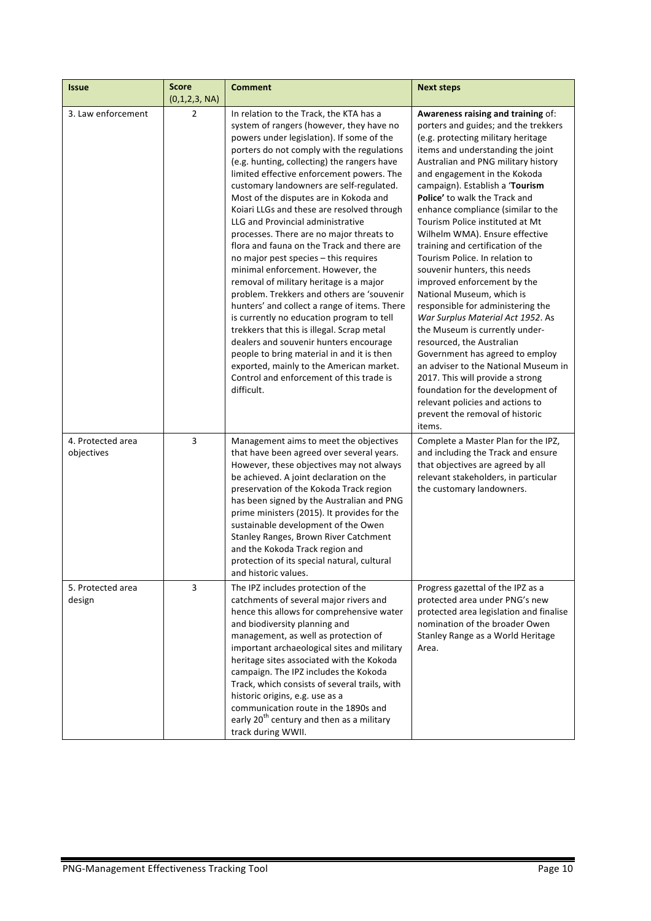| <b>Issue</b>                    | <b>Score</b><br>(0,1,2,3, NA) | <b>Comment</b>                                                                                                                                                                                                                                                                                                                                                                                                                                                                                                                                                                                                                                                                                                                                                                                                                                                                                                                                                                                                                                                | <b>Next steps</b>                                                                                                                                                                                                                                                                                                                                                                                                                                                                                                                                                                                                                                                                                                                                                                                                                                                                                                                                            |
|---------------------------------|-------------------------------|---------------------------------------------------------------------------------------------------------------------------------------------------------------------------------------------------------------------------------------------------------------------------------------------------------------------------------------------------------------------------------------------------------------------------------------------------------------------------------------------------------------------------------------------------------------------------------------------------------------------------------------------------------------------------------------------------------------------------------------------------------------------------------------------------------------------------------------------------------------------------------------------------------------------------------------------------------------------------------------------------------------------------------------------------------------|--------------------------------------------------------------------------------------------------------------------------------------------------------------------------------------------------------------------------------------------------------------------------------------------------------------------------------------------------------------------------------------------------------------------------------------------------------------------------------------------------------------------------------------------------------------------------------------------------------------------------------------------------------------------------------------------------------------------------------------------------------------------------------------------------------------------------------------------------------------------------------------------------------------------------------------------------------------|
| 3. Law enforcement              | $\overline{2}$                | In relation to the Track, the KTA has a<br>system of rangers (however, they have no<br>powers under legislation). If some of the<br>porters do not comply with the regulations<br>(e.g. hunting, collecting) the rangers have<br>limited effective enforcement powers. The<br>customary landowners are self-regulated.<br>Most of the disputes are in Kokoda and<br>Koiari LLGs and these are resolved through<br>LLG and Provincial administrative<br>processes. There are no major threats to<br>flora and fauna on the Track and there are<br>no major pest species - this requires<br>minimal enforcement. However, the<br>removal of military heritage is a major<br>problem. Trekkers and others are 'souvenir<br>hunters' and collect a range of items. There<br>is currently no education program to tell<br>trekkers that this is illegal. Scrap metal<br>dealers and souvenir hunters encourage<br>people to bring material in and it is then<br>exported, mainly to the American market.<br>Control and enforcement of this trade is<br>difficult. | Awareness raising and training of:<br>porters and guides; and the trekkers<br>(e.g. protecting military heritage<br>items and understanding the joint<br>Australian and PNG military history<br>and engagement in the Kokoda<br>campaign). Establish a 'Tourism<br>Police' to walk the Track and<br>enhance compliance (similar to the<br>Tourism Police instituted at Mt<br>Wilhelm WMA). Ensure effective<br>training and certification of the<br>Tourism Police. In relation to<br>souvenir hunters, this needs<br>improved enforcement by the<br>National Museum, which is<br>responsible for administering the<br>War Surplus Material Act 1952. As<br>the Museum is currently under-<br>resourced, the Australian<br>Government has agreed to employ<br>an adviser to the National Museum in<br>2017. This will provide a strong<br>foundation for the development of<br>relevant policies and actions to<br>prevent the removal of historic<br>items. |
| 4. Protected area<br>objectives | 3                             | Management aims to meet the objectives<br>that have been agreed over several years.<br>However, these objectives may not always<br>be achieved. A joint declaration on the<br>preservation of the Kokoda Track region<br>has been signed by the Australian and PNG<br>prime ministers (2015). It provides for the<br>sustainable development of the Owen<br>Stanley Ranges, Brown River Catchment<br>and the Kokoda Track region and<br>protection of its special natural, cultural<br>and historic values.                                                                                                                                                                                                                                                                                                                                                                                                                                                                                                                                                   | Complete a Master Plan for the IPZ,<br>and including the Track and ensure<br>that objectives are agreed by all<br>relevant stakeholders, in particular<br>the customary landowners.                                                                                                                                                                                                                                                                                                                                                                                                                                                                                                                                                                                                                                                                                                                                                                          |
| 5. Protected area<br>design     | 3                             | The IPZ includes protection of the<br>catchments of several major rivers and<br>hence this allows for comprehensive water<br>and biodiversity planning and<br>management, as well as protection of<br>important archaeological sites and military<br>heritage sites associated with the Kokoda<br>campaign. The IPZ includes the Kokoda<br>Track, which consists of several trails, with<br>historic origins, e.g. use as a<br>communication route in the 1890s and<br>early 20 <sup>th</sup> century and then as a military<br>track during WWII.                                                                                                                                                                                                                                                                                                                                                                                                                                                                                                            | Progress gazettal of the IPZ as a<br>protected area under PNG's new<br>protected area legislation and finalise<br>nomination of the broader Owen<br>Stanley Range as a World Heritage<br>Area.                                                                                                                                                                                                                                                                                                                                                                                                                                                                                                                                                                                                                                                                                                                                                               |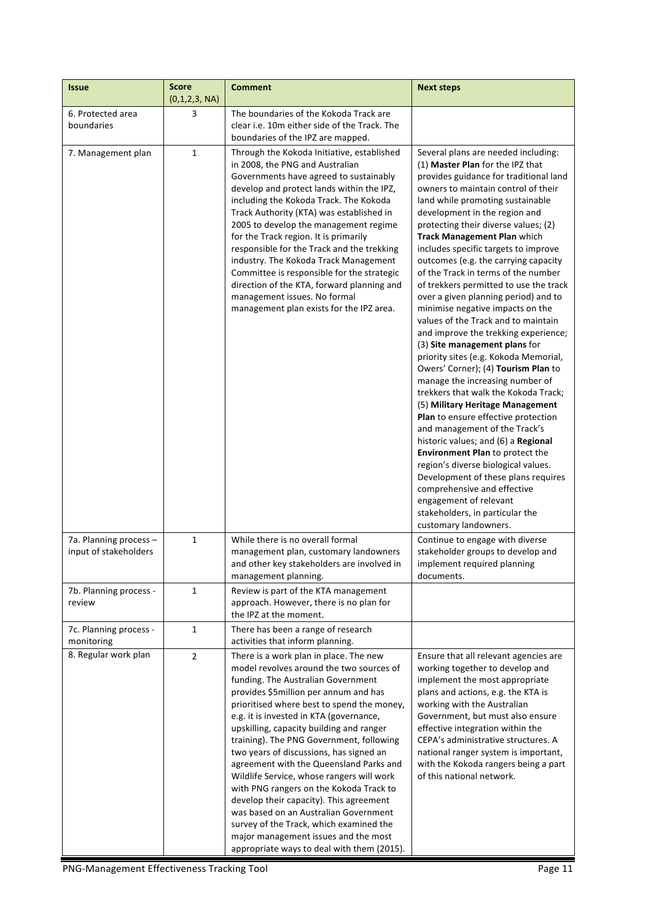| <b>Issue</b>                                    | <b>Score</b><br>(0,1,2,3, NA) | <b>Comment</b>                                                                                                                                                                                                                                                                                                                                                                                                                                                                                                                                                                                                                                                                                                                                        | <b>Next steps</b>                                                                                                                                                                                                                                                                                                                                                                                                                                                                                                                                                                                                                                                                                                                                                                                                                                                                                                                                                                                                                                                                                                                                                                                                                   |
|-------------------------------------------------|-------------------------------|-------------------------------------------------------------------------------------------------------------------------------------------------------------------------------------------------------------------------------------------------------------------------------------------------------------------------------------------------------------------------------------------------------------------------------------------------------------------------------------------------------------------------------------------------------------------------------------------------------------------------------------------------------------------------------------------------------------------------------------------------------|-------------------------------------------------------------------------------------------------------------------------------------------------------------------------------------------------------------------------------------------------------------------------------------------------------------------------------------------------------------------------------------------------------------------------------------------------------------------------------------------------------------------------------------------------------------------------------------------------------------------------------------------------------------------------------------------------------------------------------------------------------------------------------------------------------------------------------------------------------------------------------------------------------------------------------------------------------------------------------------------------------------------------------------------------------------------------------------------------------------------------------------------------------------------------------------------------------------------------------------|
| 6. Protected area<br>boundaries                 | 3                             | The boundaries of the Kokoda Track are<br>clear i.e. 10m either side of the Track. The<br>boundaries of the IPZ are mapped.                                                                                                                                                                                                                                                                                                                                                                                                                                                                                                                                                                                                                           |                                                                                                                                                                                                                                                                                                                                                                                                                                                                                                                                                                                                                                                                                                                                                                                                                                                                                                                                                                                                                                                                                                                                                                                                                                     |
| 7. Management plan                              | $\mathbf{1}$                  | Through the Kokoda Initiative, established<br>in 2008, the PNG and Australian<br>Governments have agreed to sustainably<br>develop and protect lands within the IPZ,<br>including the Kokoda Track. The Kokoda<br>Track Authority (KTA) was established in<br>2005 to develop the management regime<br>for the Track region. It is primarily<br>responsible for the Track and the trekking<br>industry. The Kokoda Track Management<br>Committee is responsible for the strategic<br>direction of the KTA, forward planning and<br>management issues. No formal<br>management plan exists for the IPZ area.                                                                                                                                           | Several plans are needed including:<br>(1) Master Plan for the IPZ that<br>provides guidance for traditional land<br>owners to maintain control of their<br>land while promoting sustainable<br>development in the region and<br>protecting their diverse values; (2)<br><b>Track Management Plan which</b><br>includes specific targets to improve<br>outcomes (e.g. the carrying capacity<br>of the Track in terms of the number<br>of trekkers permitted to use the track<br>over a given planning period) and to<br>minimise negative impacts on the<br>values of the Track and to maintain<br>and improve the trekking experience;<br>(3) Site management plans for<br>priority sites (e.g. Kokoda Memorial,<br>Owers' Corner); (4) Tourism Plan to<br>manage the increasing number of<br>trekkers that walk the Kokoda Track;<br>(5) Military Heritage Management<br>Plan to ensure effective protection<br>and management of the Track's<br>historic values; and (6) a Regional<br><b>Environment Plan to protect the</b><br>region's diverse biological values.<br>Development of these plans requires<br>comprehensive and effective<br>engagement of relevant<br>stakeholders, in particular the<br>customary landowners. |
| 7a. Planning process -<br>input of stakeholders | $\mathbf{1}$                  | While there is no overall formal<br>management plan, customary landowners<br>and other key stakeholders are involved in<br>management planning.                                                                                                                                                                                                                                                                                                                                                                                                                                                                                                                                                                                                       | Continue to engage with diverse<br>stakeholder groups to develop and<br>implement required planning<br>documents.                                                                                                                                                                                                                                                                                                                                                                                                                                                                                                                                                                                                                                                                                                                                                                                                                                                                                                                                                                                                                                                                                                                   |
| 7b. Planning process -<br>review                | 1                             | Review is part of the KTA management<br>approach. However, there is no plan for<br>the IPZ at the moment.                                                                                                                                                                                                                                                                                                                                                                                                                                                                                                                                                                                                                                             |                                                                                                                                                                                                                                                                                                                                                                                                                                                                                                                                                                                                                                                                                                                                                                                                                                                                                                                                                                                                                                                                                                                                                                                                                                     |
| 7c. Planning process -<br>monitoring            | $\mathbf{1}$                  | There has been a range of research<br>activities that inform planning.                                                                                                                                                                                                                                                                                                                                                                                                                                                                                                                                                                                                                                                                                |                                                                                                                                                                                                                                                                                                                                                                                                                                                                                                                                                                                                                                                                                                                                                                                                                                                                                                                                                                                                                                                                                                                                                                                                                                     |
| 8. Regular work plan                            | $\overline{2}$                | There is a work plan in place. The new<br>model revolves around the two sources of<br>funding. The Australian Government<br>provides \$5million per annum and has<br>prioritised where best to spend the money,<br>e.g. it is invested in KTA (governance,<br>upskilling, capacity building and ranger<br>training). The PNG Government, following<br>two years of discussions, has signed an<br>agreement with the Queensland Parks and<br>Wildlife Service, whose rangers will work<br>with PNG rangers on the Kokoda Track to<br>develop their capacity). This agreement<br>was based on an Australian Government<br>survey of the Track, which examined the<br>major management issues and the most<br>appropriate ways to deal with them (2015). | Ensure that all relevant agencies are<br>working together to develop and<br>implement the most appropriate<br>plans and actions, e.g. the KTA is<br>working with the Australian<br>Government, but must also ensure<br>effective integration within the<br>CEPA's administrative structures. A<br>national ranger system is important,<br>with the Kokoda rangers being a part<br>of this national network.                                                                                                                                                                                                                                                                                                                                                                                                                                                                                                                                                                                                                                                                                                                                                                                                                         |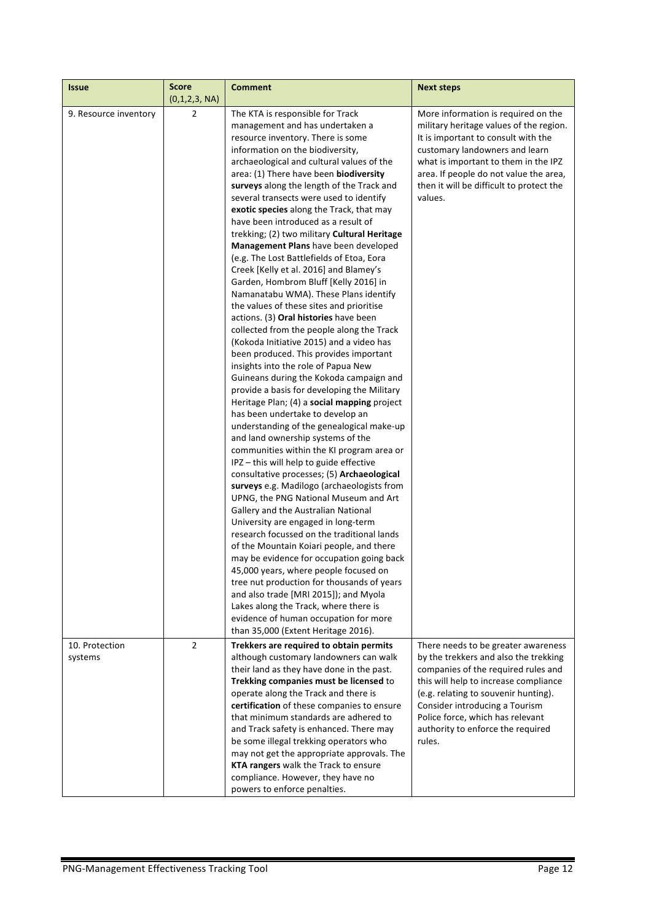| <b>Issue</b>              | <b>Score</b><br>(0,1,2,3, NA) | <b>Comment</b>                                                                                                                                                                                                                                                                                                                                                                                                                                                                                                                                                                                                                                                                                                                                                                                                                                                                                                                                                                                                                                                                                                                                                                                                                                                                                                                                                                                                                                                                                                                                                                                                                                                                                                                                                                                                                                                                                                           | <b>Next steps</b>                                                                                                                                                                                                                                                                                                         |
|---------------------------|-------------------------------|--------------------------------------------------------------------------------------------------------------------------------------------------------------------------------------------------------------------------------------------------------------------------------------------------------------------------------------------------------------------------------------------------------------------------------------------------------------------------------------------------------------------------------------------------------------------------------------------------------------------------------------------------------------------------------------------------------------------------------------------------------------------------------------------------------------------------------------------------------------------------------------------------------------------------------------------------------------------------------------------------------------------------------------------------------------------------------------------------------------------------------------------------------------------------------------------------------------------------------------------------------------------------------------------------------------------------------------------------------------------------------------------------------------------------------------------------------------------------------------------------------------------------------------------------------------------------------------------------------------------------------------------------------------------------------------------------------------------------------------------------------------------------------------------------------------------------------------------------------------------------------------------------------------------------|---------------------------------------------------------------------------------------------------------------------------------------------------------------------------------------------------------------------------------------------------------------------------------------------------------------------------|
| 9. Resource inventory     | $\overline{2}$                | The KTA is responsible for Track<br>management and has undertaken a<br>resource inventory. There is some<br>information on the biodiversity,<br>archaeological and cultural values of the<br>area: (1) There have been biodiversity<br>surveys along the length of the Track and<br>several transects were used to identify<br>exotic species along the Track, that may<br>have been introduced as a result of<br>trekking; (2) two military Cultural Heritage<br>Management Plans have been developed<br>(e.g. The Lost Battlefields of Etoa, Eora<br>Creek [Kelly et al. 2016] and Blamey's<br>Garden, Hombrom Bluff [Kelly 2016] in<br>Namanatabu WMA). These Plans identify<br>the values of these sites and prioritise<br>actions. (3) Oral histories have been<br>collected from the people along the Track<br>(Kokoda Initiative 2015) and a video has<br>been produced. This provides important<br>insights into the role of Papua New<br>Guineans during the Kokoda campaign and<br>provide a basis for developing the Military<br>Heritage Plan; (4) a social mapping project<br>has been undertake to develop an<br>understanding of the genealogical make-up<br>and land ownership systems of the<br>communities within the KI program area or<br>IPZ - this will help to guide effective<br>consultative processes; (5) Archaeological<br>surveys e.g. Madilogo (archaeologists from<br>UPNG, the PNG National Museum and Art<br>Gallery and the Australian National<br>University are engaged in long-term<br>research focussed on the traditional lands<br>of the Mountain Koiari people, and there<br>may be evidence for occupation going back<br>45,000 years, where people focused on<br>tree nut production for thousands of years<br>and also trade [MRI 2015]); and Myola<br>Lakes along the Track, where there is<br>evidence of human occupation for more<br>than 35,000 (Extent Heritage 2016). | More information is required on the<br>military heritage values of the region.<br>It is important to consult with the<br>customary landowners and learn<br>what is important to them in the IPZ<br>area. If people do not value the area,<br>then it will be difficult to protect the<br>values.                          |
| 10. Protection<br>systems | $\overline{2}$                | Trekkers are required to obtain permits<br>although customary landowners can walk<br>their land as they have done in the past.<br>Trekking companies must be licensed to<br>operate along the Track and there is<br>certification of these companies to ensure<br>that minimum standards are adhered to<br>and Track safety is enhanced. There may<br>be some illegal trekking operators who<br>may not get the appropriate approvals. The<br>KTA rangers walk the Track to ensure<br>compliance. However, they have no<br>powers to enforce penalties.                                                                                                                                                                                                                                                                                                                                                                                                                                                                                                                                                                                                                                                                                                                                                                                                                                                                                                                                                                                                                                                                                                                                                                                                                                                                                                                                                                  | There needs to be greater awareness<br>by the trekkers and also the trekking<br>companies of the required rules and<br>this will help to increase compliance<br>(e.g. relating to souvenir hunting).<br>Consider introducing a Tourism<br>Police force, which has relevant<br>authority to enforce the required<br>rules. |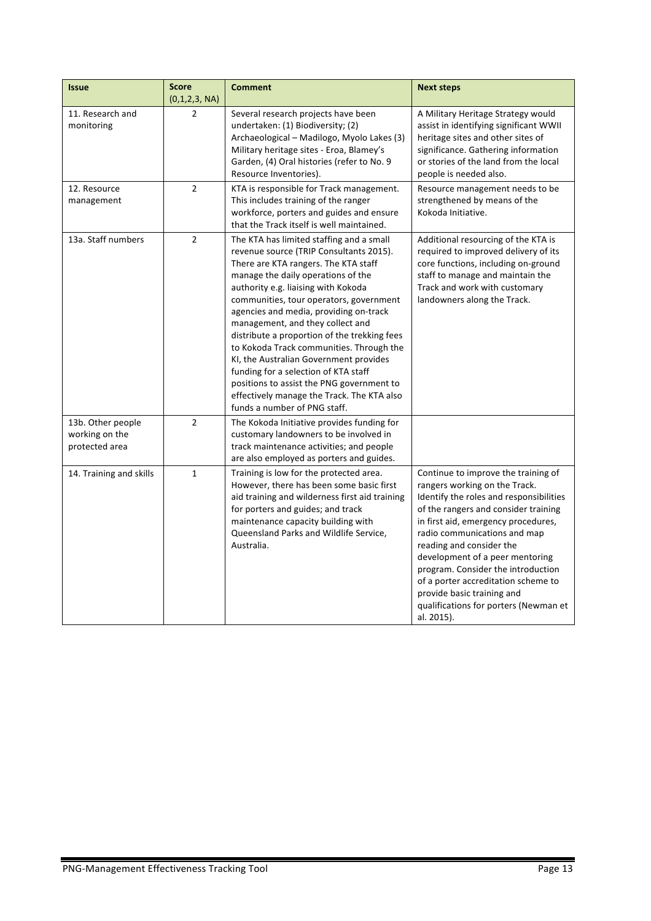| <b>Issue</b>                                          | <b>Score</b><br>(0,1,2,3, NA) | <b>Comment</b>                                                                                                                                                                                                                                                                                                                                                                                                                                                                                                                                                                                                                             | <b>Next steps</b>                                                                                                                                                                                                                                                                                                                                                                                                                                               |
|-------------------------------------------------------|-------------------------------|--------------------------------------------------------------------------------------------------------------------------------------------------------------------------------------------------------------------------------------------------------------------------------------------------------------------------------------------------------------------------------------------------------------------------------------------------------------------------------------------------------------------------------------------------------------------------------------------------------------------------------------------|-----------------------------------------------------------------------------------------------------------------------------------------------------------------------------------------------------------------------------------------------------------------------------------------------------------------------------------------------------------------------------------------------------------------------------------------------------------------|
| 11. Research and<br>monitoring                        | 2                             | Several research projects have been<br>undertaken: (1) Biodiversity; (2)<br>Archaeological - Madilogo, Myolo Lakes (3)<br>Military heritage sites - Eroa, Blamey's<br>Garden, (4) Oral histories (refer to No. 9<br>Resource Inventories).                                                                                                                                                                                                                                                                                                                                                                                                 | A Military Heritage Strategy would<br>assist in identifying significant WWII<br>heritage sites and other sites of<br>significance. Gathering information<br>or stories of the land from the local<br>people is needed also.                                                                                                                                                                                                                                     |
| 12. Resource<br>management                            | $\overline{2}$                | KTA is responsible for Track management.<br>This includes training of the ranger<br>workforce, porters and guides and ensure<br>that the Track itself is well maintained.                                                                                                                                                                                                                                                                                                                                                                                                                                                                  | Resource management needs to be<br>strengthened by means of the<br>Kokoda Initiative.                                                                                                                                                                                                                                                                                                                                                                           |
| 13a. Staff numbers                                    | $\overline{2}$                | The KTA has limited staffing and a small<br>revenue source (TRIP Consultants 2015).<br>There are KTA rangers. The KTA staff<br>manage the daily operations of the<br>authority e.g. liaising with Kokoda<br>communities, tour operators, government<br>agencies and media, providing on-track<br>management, and they collect and<br>distribute a proportion of the trekking fees<br>to Kokoda Track communities. Through the<br>KI, the Australian Government provides<br>funding for a selection of KTA staff<br>positions to assist the PNG government to<br>effectively manage the Track. The KTA also<br>funds a number of PNG staff. | Additional resourcing of the KTA is<br>required to improved delivery of its<br>core functions, including on-ground<br>staff to manage and maintain the<br>Track and work with customary<br>landowners along the Track.                                                                                                                                                                                                                                          |
| 13b. Other people<br>working on the<br>protected area | $\overline{2}$                | The Kokoda Initiative provides funding for<br>customary landowners to be involved in<br>track maintenance activities; and people<br>are also employed as porters and guides.                                                                                                                                                                                                                                                                                                                                                                                                                                                               |                                                                                                                                                                                                                                                                                                                                                                                                                                                                 |
| 14. Training and skills                               | $\mathbf 1$                   | Training is low for the protected area.<br>However, there has been some basic first<br>aid training and wilderness first aid training<br>for porters and guides; and track<br>maintenance capacity building with<br>Queensland Parks and Wildlife Service,<br>Australia.                                                                                                                                                                                                                                                                                                                                                                   | Continue to improve the training of<br>rangers working on the Track.<br>Identify the roles and responsibilities<br>of the rangers and consider training<br>in first aid, emergency procedures,<br>radio communications and map<br>reading and consider the<br>development of a peer mentoring<br>program. Consider the introduction<br>of a porter accreditation scheme to<br>provide basic training and<br>qualifications for porters (Newman et<br>al. 2015). |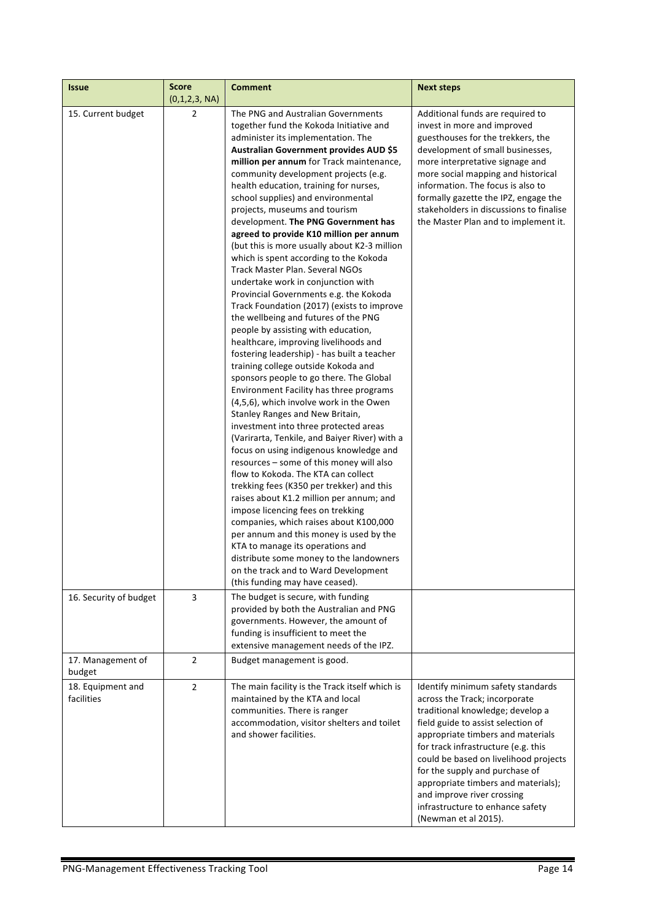| <b>Issue</b>                    | Score<br>(0,1,2,3, NA) | <b>Comment</b>                                                                                                                                                                                                                                                                                                                                                                                                                                                                                                                                                                                                                                                                                                                                                                                                                                                                                                                                                                                                                                                                                                                                                                                                                                                                                                                                                                                                                                                                                                                                                                                                                                                                                         | <b>Next steps</b>                                                                                                                                                                                                                                                                                                                                                                                                                    |
|---------------------------------|------------------------|--------------------------------------------------------------------------------------------------------------------------------------------------------------------------------------------------------------------------------------------------------------------------------------------------------------------------------------------------------------------------------------------------------------------------------------------------------------------------------------------------------------------------------------------------------------------------------------------------------------------------------------------------------------------------------------------------------------------------------------------------------------------------------------------------------------------------------------------------------------------------------------------------------------------------------------------------------------------------------------------------------------------------------------------------------------------------------------------------------------------------------------------------------------------------------------------------------------------------------------------------------------------------------------------------------------------------------------------------------------------------------------------------------------------------------------------------------------------------------------------------------------------------------------------------------------------------------------------------------------------------------------------------------------------------------------------------------|--------------------------------------------------------------------------------------------------------------------------------------------------------------------------------------------------------------------------------------------------------------------------------------------------------------------------------------------------------------------------------------------------------------------------------------|
| 15. Current budget              | $\overline{2}$         | The PNG and Australian Governments<br>together fund the Kokoda Initiative and<br>administer its implementation. The<br>Australian Government provides AUD \$5<br>million per annum for Track maintenance,<br>community development projects (e.g.<br>health education, training for nurses,<br>school supplies) and environmental<br>projects, museums and tourism<br>development. The PNG Government has<br>agreed to provide K10 million per annum<br>(but this is more usually about K2-3 million<br>which is spent according to the Kokoda<br>Track Master Plan. Several NGOs<br>undertake work in conjunction with<br>Provincial Governments e.g. the Kokoda<br>Track Foundation (2017) (exists to improve<br>the wellbeing and futures of the PNG<br>people by assisting with education,<br>healthcare, improving livelihoods and<br>fostering leadership) - has built a teacher<br>training college outside Kokoda and<br>sponsors people to go there. The Global<br>Environment Facility has three programs<br>(4,5,6), which involve work in the Owen<br>Stanley Ranges and New Britain,<br>investment into three protected areas<br>(Varirarta, Tenkile, and Baiyer River) with a<br>focus on using indigenous knowledge and<br>resources - some of this money will also<br>flow to Kokoda. The KTA can collect<br>trekking fees (K350 per trekker) and this<br>raises about K1.2 million per annum; and<br>impose licencing fees on trekking<br>companies, which raises about K100,000<br>per annum and this money is used by the<br>KTA to manage its operations and<br>distribute some money to the landowners<br>on the track and to Ward Development<br>(this funding may have ceased). | Additional funds are required to<br>invest in more and improved<br>guesthouses for the trekkers, the<br>development of small businesses,<br>more interpretative signage and<br>more social mapping and historical<br>information. The focus is also to<br>formally gazette the IPZ, engage the<br>stakeholders in discussions to finalise<br>the Master Plan and to implement it.                                                    |
| 16. Security of budget          | 3                      | The budget is secure, with funding<br>provided by both the Australian and PNG<br>governments. However, the amount of<br>funding is insufficient to meet the<br>extensive management needs of the IPZ.                                                                                                                                                                                                                                                                                                                                                                                                                                                                                                                                                                                                                                                                                                                                                                                                                                                                                                                                                                                                                                                                                                                                                                                                                                                                                                                                                                                                                                                                                                  |                                                                                                                                                                                                                                                                                                                                                                                                                                      |
| 17. Management of<br>budget     | $\overline{2}$         | Budget management is good.                                                                                                                                                                                                                                                                                                                                                                                                                                                                                                                                                                                                                                                                                                                                                                                                                                                                                                                                                                                                                                                                                                                                                                                                                                                                                                                                                                                                                                                                                                                                                                                                                                                                             |                                                                                                                                                                                                                                                                                                                                                                                                                                      |
| 18. Equipment and<br>facilities | $\overline{2}$         | The main facility is the Track itself which is<br>maintained by the KTA and local<br>communities. There is ranger<br>accommodation, visitor shelters and toilet<br>and shower facilities.                                                                                                                                                                                                                                                                                                                                                                                                                                                                                                                                                                                                                                                                                                                                                                                                                                                                                                                                                                                                                                                                                                                                                                                                                                                                                                                                                                                                                                                                                                              | Identify minimum safety standards<br>across the Track; incorporate<br>traditional knowledge; develop a<br>field guide to assist selection of<br>appropriate timbers and materials<br>for track infrastructure (e.g. this<br>could be based on livelihood projects<br>for the supply and purchase of<br>appropriate timbers and materials);<br>and improve river crossing<br>infrastructure to enhance safety<br>(Newman et al 2015). |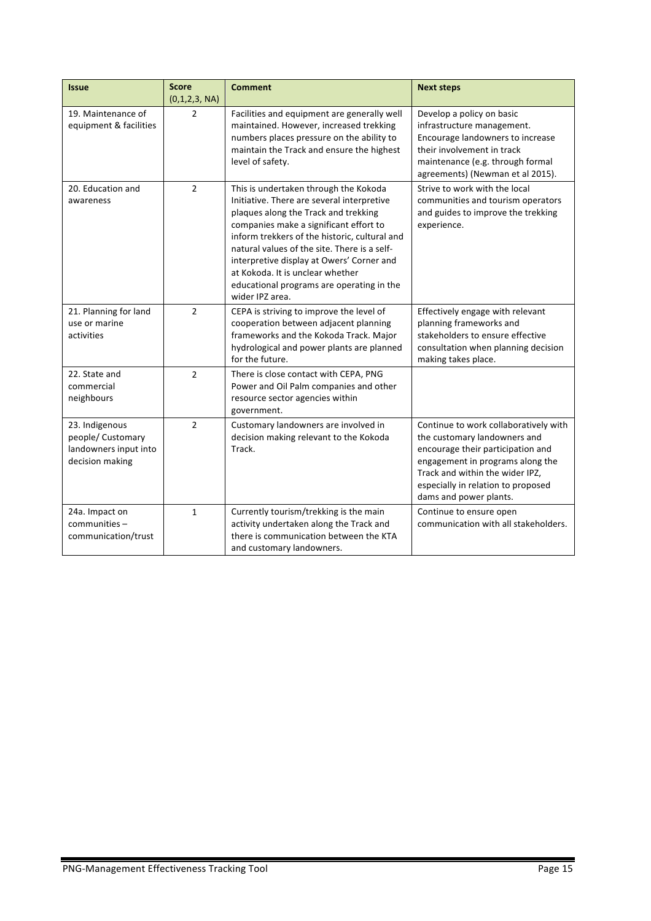| <b>Issue</b>                                                                    | <b>Score</b><br>(0,1,2,3, NA) | <b>Comment</b>                                                                                                                                                                                                                                                                                                                                                                                                          | <b>Next steps</b>                                                                                                                                                                                                                                 |
|---------------------------------------------------------------------------------|-------------------------------|-------------------------------------------------------------------------------------------------------------------------------------------------------------------------------------------------------------------------------------------------------------------------------------------------------------------------------------------------------------------------------------------------------------------------|---------------------------------------------------------------------------------------------------------------------------------------------------------------------------------------------------------------------------------------------------|
| 19. Maintenance of<br>equipment & facilities                                    | $\overline{2}$                | Facilities and equipment are generally well<br>maintained. However, increased trekking<br>numbers places pressure on the ability to<br>maintain the Track and ensure the highest<br>level of safety.                                                                                                                                                                                                                    | Develop a policy on basic<br>infrastructure management.<br>Encourage landowners to increase<br>their involvement in track<br>maintenance (e.g. through formal<br>agreements) (Newman et al 2015).                                                 |
| 20. Education and<br>awareness                                                  | $\overline{2}$                | This is undertaken through the Kokoda<br>Initiative. There are several interpretive<br>plaques along the Track and trekking<br>companies make a significant effort to<br>inform trekkers of the historic, cultural and<br>natural values of the site. There is a self-<br>interpretive display at Owers' Corner and<br>at Kokoda. It is unclear whether<br>educational programs are operating in the<br>wider IPZ area. | Strive to work with the local<br>communities and tourism operators<br>and guides to improve the trekking<br>experience.                                                                                                                           |
| 21. Planning for land<br>use or marine<br>activities                            | $\overline{2}$                | CEPA is striving to improve the level of<br>cooperation between adjacent planning<br>frameworks and the Kokoda Track. Major<br>hydrological and power plants are planned<br>for the future.                                                                                                                                                                                                                             | Effectively engage with relevant<br>planning frameworks and<br>stakeholders to ensure effective<br>consultation when planning decision<br>making takes place.                                                                                     |
| 22. State and<br>commercial<br>neighbours                                       | $\overline{2}$                | There is close contact with CEPA, PNG<br>Power and Oil Palm companies and other<br>resource sector agencies within<br>government.                                                                                                                                                                                                                                                                                       |                                                                                                                                                                                                                                                   |
| 23. Indigenous<br>people/ Customary<br>landowners input into<br>decision making | $\overline{2}$                | Customary landowners are involved in<br>decision making relevant to the Kokoda<br>Track.                                                                                                                                                                                                                                                                                                                                | Continue to work collaboratively with<br>the customary landowners and<br>encourage their participation and<br>engagement in programs along the<br>Track and within the wider IPZ,<br>especially in relation to proposed<br>dams and power plants. |
| 24a. Impact on<br>communities-<br>communication/trust                           | $\mathbf{1}$                  | Currently tourism/trekking is the main<br>activity undertaken along the Track and<br>there is communication between the KTA<br>and customary landowners.                                                                                                                                                                                                                                                                | Continue to ensure open<br>communication with all stakeholders.                                                                                                                                                                                   |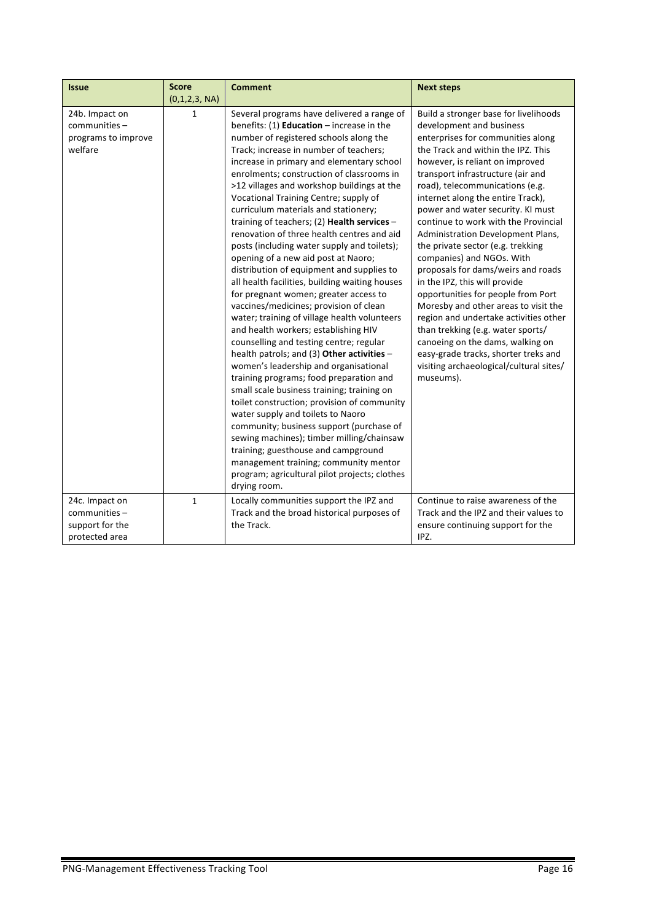| <b>Issue</b>                                                         | <b>Score</b><br>(0,1,2,3, NA) | <b>Comment</b>                                                                                                                                                                                                                                                                                                                                                                                                                                                                                                                                                                                                                                                                                                                                                                                                                                                                                                                                                                                                                                                                                                                                                                                                                                                                                                                                                                                                                        | <b>Next steps</b>                                                                                                                                                                                                                                                                                                                                                                                                                                                                                                                                                                                                                                                                                                                                                                                                                                       |
|----------------------------------------------------------------------|-------------------------------|---------------------------------------------------------------------------------------------------------------------------------------------------------------------------------------------------------------------------------------------------------------------------------------------------------------------------------------------------------------------------------------------------------------------------------------------------------------------------------------------------------------------------------------------------------------------------------------------------------------------------------------------------------------------------------------------------------------------------------------------------------------------------------------------------------------------------------------------------------------------------------------------------------------------------------------------------------------------------------------------------------------------------------------------------------------------------------------------------------------------------------------------------------------------------------------------------------------------------------------------------------------------------------------------------------------------------------------------------------------------------------------------------------------------------------------|---------------------------------------------------------------------------------------------------------------------------------------------------------------------------------------------------------------------------------------------------------------------------------------------------------------------------------------------------------------------------------------------------------------------------------------------------------------------------------------------------------------------------------------------------------------------------------------------------------------------------------------------------------------------------------------------------------------------------------------------------------------------------------------------------------------------------------------------------------|
| 24b. Impact on<br>communities -<br>programs to improve<br>welfare    | 1                             | Several programs have delivered a range of<br>benefits: $(1)$ <b>Education</b> – increase in the<br>number of registered schools along the<br>Track; increase in number of teachers;<br>increase in primary and elementary school<br>enrolments; construction of classrooms in<br>>12 villages and workshop buildings at the<br>Vocational Training Centre; supply of<br>curriculum materials and stationery;<br>training of teachers; (2) Health services $-$<br>renovation of three health centres and aid<br>posts (including water supply and toilets);<br>opening of a new aid post at Naoro;<br>distribution of equipment and supplies to<br>all health facilities, building waiting houses<br>for pregnant women; greater access to<br>vaccines/medicines; provision of clean<br>water; training of village health volunteers<br>and health workers; establishing HIV<br>counselling and testing centre; regular<br>health patrols; and (3) Other activities -<br>women's leadership and organisational<br>training programs; food preparation and<br>small scale business training; training on<br>toilet construction; provision of community<br>water supply and toilets to Naoro<br>community; business support (purchase of<br>sewing machines); timber milling/chainsaw<br>training; guesthouse and campground<br>management training; community mentor<br>program; agricultural pilot projects; clothes<br>drying room. | Build a stronger base for livelihoods<br>development and business<br>enterprises for communities along<br>the Track and within the IPZ. This<br>however, is reliant on improved<br>transport infrastructure (air and<br>road), telecommunications (e.g.<br>internet along the entire Track),<br>power and water security. KI must<br>continue to work with the Provincial<br>Administration Development Plans,<br>the private sector (e.g. trekking<br>companies) and NGOs. With<br>proposals for dams/weirs and roads<br>in the IPZ, this will provide<br>opportunities for people from Port<br>Moresby and other areas to visit the<br>region and undertake activities other<br>than trekking (e.g. water sports/<br>canoeing on the dams, walking on<br>easy-grade tracks, shorter treks and<br>visiting archaeological/cultural sites/<br>museums). |
| 24c. Impact on<br>communities -<br>support for the<br>protected area | $\mathbf{1}$                  | Locally communities support the IPZ and<br>Track and the broad historical purposes of<br>the Track.                                                                                                                                                                                                                                                                                                                                                                                                                                                                                                                                                                                                                                                                                                                                                                                                                                                                                                                                                                                                                                                                                                                                                                                                                                                                                                                                   | Continue to raise awareness of the<br>Track and the IPZ and their values to<br>ensure continuing support for the<br>IPZ.                                                                                                                                                                                                                                                                                                                                                                                                                                                                                                                                                                                                                                                                                                                                |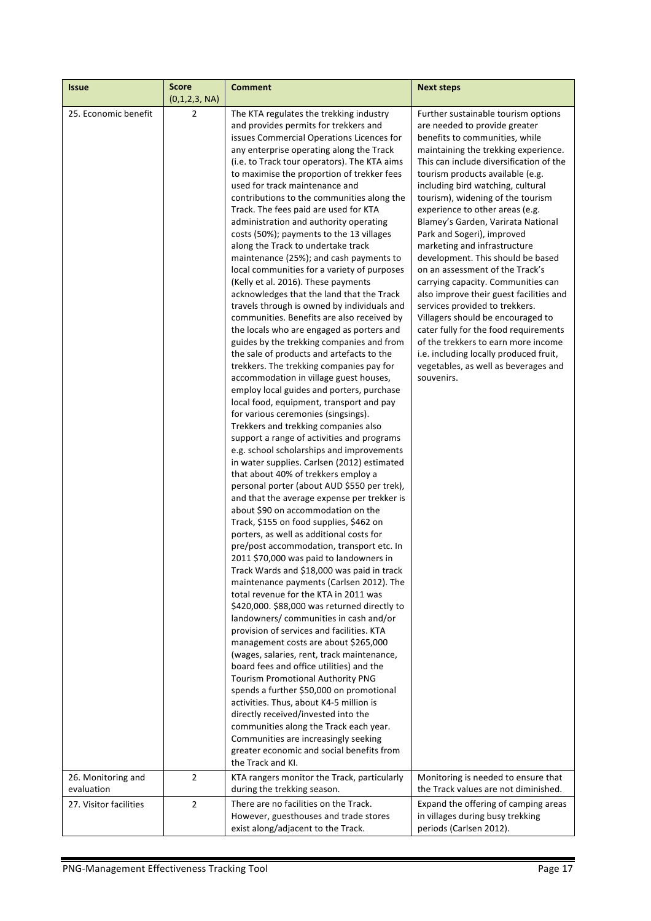| <b>Issue</b>                                               | <b>Score</b><br>(0,1,2,3, NA)    | <b>Comment</b>                                                                                                                                                                                                                                                                                                                                                                                                                                                                                                                                                                                                                                                                                                                                                                                                                                                                                                                                                                                                                                                                                                                                                                                                                                                                                                                                                                                                                                                                                                                                                                                                                                                                                                                                                                                                                                                                                                                                                                                                                                                                                                                                                                                                                                                                                                                                                                                                                                            | <b>Next steps</b>                                                                                                                                                                                                                                                                                                                                                                                                                                                                                                                                                                                                                                                                                                                                                                                                                                              |
|------------------------------------------------------------|----------------------------------|-----------------------------------------------------------------------------------------------------------------------------------------------------------------------------------------------------------------------------------------------------------------------------------------------------------------------------------------------------------------------------------------------------------------------------------------------------------------------------------------------------------------------------------------------------------------------------------------------------------------------------------------------------------------------------------------------------------------------------------------------------------------------------------------------------------------------------------------------------------------------------------------------------------------------------------------------------------------------------------------------------------------------------------------------------------------------------------------------------------------------------------------------------------------------------------------------------------------------------------------------------------------------------------------------------------------------------------------------------------------------------------------------------------------------------------------------------------------------------------------------------------------------------------------------------------------------------------------------------------------------------------------------------------------------------------------------------------------------------------------------------------------------------------------------------------------------------------------------------------------------------------------------------------------------------------------------------------------------------------------------------------------------------------------------------------------------------------------------------------------------------------------------------------------------------------------------------------------------------------------------------------------------------------------------------------------------------------------------------------------------------------------------------------------------------------------------------------|----------------------------------------------------------------------------------------------------------------------------------------------------------------------------------------------------------------------------------------------------------------------------------------------------------------------------------------------------------------------------------------------------------------------------------------------------------------------------------------------------------------------------------------------------------------------------------------------------------------------------------------------------------------------------------------------------------------------------------------------------------------------------------------------------------------------------------------------------------------|
| 25. Economic benefit                                       | $\overline{2}$                   | The KTA regulates the trekking industry<br>and provides permits for trekkers and<br>issues Commercial Operations Licences for<br>any enterprise operating along the Track<br>(i.e. to Track tour operators). The KTA aims<br>to maximise the proportion of trekker fees<br>used for track maintenance and<br>contributions to the communities along the<br>Track. The fees paid are used for KTA<br>administration and authority operating<br>costs (50%); payments to the 13 villages<br>along the Track to undertake track<br>maintenance (25%); and cash payments to<br>local communities for a variety of purposes<br>(Kelly et al. 2016). These payments<br>acknowledges that the land that the Track<br>travels through is owned by individuals and<br>communities. Benefits are also received by<br>the locals who are engaged as porters and<br>guides by the trekking companies and from<br>the sale of products and artefacts to the<br>trekkers. The trekking companies pay for<br>accommodation in village guest houses,<br>employ local guides and porters, purchase<br>local food, equipment, transport and pay<br>for various ceremonies (singsings).<br>Trekkers and trekking companies also<br>support a range of activities and programs<br>e.g. school scholarships and improvements<br>in water supplies. Carlsen (2012) estimated<br>that about 40% of trekkers employ a<br>personal porter (about AUD \$550 per trek),<br>and that the average expense per trekker is<br>about \$90 on accommodation on the<br>Track, \$155 on food supplies, \$462 on<br>porters, as well as additional costs for<br>pre/post accommodation, transport etc. In<br>2011 \$70,000 was paid to landowners in<br>Track Wards and \$18,000 was paid in track<br>maintenance payments (Carlsen 2012). The<br>total revenue for the KTA in 2011 was<br>\$420,000. \$88,000 was returned directly to<br>landowners/communities in cash and/or<br>provision of services and facilities. KTA<br>management costs are about \$265,000<br>(wages, salaries, rent, track maintenance,<br>board fees and office utilities) and the<br><b>Tourism Promotional Authority PNG</b><br>spends a further \$50,000 on promotional<br>activities. Thus, about K4-5 million is<br>directly received/invested into the<br>communities along the Track each year.<br>Communities are increasingly seeking<br>greater economic and social benefits from<br>the Track and KI. | Further sustainable tourism options<br>are needed to provide greater<br>benefits to communities, while<br>maintaining the trekking experience.<br>This can include diversification of the<br>tourism products available (e.g.<br>including bird watching, cultural<br>tourism), widening of the tourism<br>experience to other areas (e.g.<br>Blamey's Garden, Varirata National<br>Park and Sogeri), improved<br>marketing and infrastructure<br>development. This should be based<br>on an assessment of the Track's<br>carrying capacity. Communities can<br>also improve their guest facilities and<br>services provided to trekkers.<br>Villagers should be encouraged to<br>cater fully for the food requirements<br>of the trekkers to earn more income<br>i.e. including locally produced fruit,<br>vegetables, as well as beverages and<br>souvenirs. |
| 26. Monitoring and<br>evaluation<br>27. Visitor facilities | $\overline{2}$<br>$\overline{2}$ | KTA rangers monitor the Track, particularly<br>during the trekking season.<br>There are no facilities on the Track.                                                                                                                                                                                                                                                                                                                                                                                                                                                                                                                                                                                                                                                                                                                                                                                                                                                                                                                                                                                                                                                                                                                                                                                                                                                                                                                                                                                                                                                                                                                                                                                                                                                                                                                                                                                                                                                                                                                                                                                                                                                                                                                                                                                                                                                                                                                                       | Monitoring is needed to ensure that<br>the Track values are not diminished.<br>Expand the offering of camping areas                                                                                                                                                                                                                                                                                                                                                                                                                                                                                                                                                                                                                                                                                                                                            |
|                                                            |                                  | However, guesthouses and trade stores<br>exist along/adjacent to the Track.                                                                                                                                                                                                                                                                                                                                                                                                                                                                                                                                                                                                                                                                                                                                                                                                                                                                                                                                                                                                                                                                                                                                                                                                                                                                                                                                                                                                                                                                                                                                                                                                                                                                                                                                                                                                                                                                                                                                                                                                                                                                                                                                                                                                                                                                                                                                                                               | in villages during busy trekking<br>periods (Carlsen 2012).                                                                                                                                                                                                                                                                                                                                                                                                                                                                                                                                                                                                                                                                                                                                                                                                    |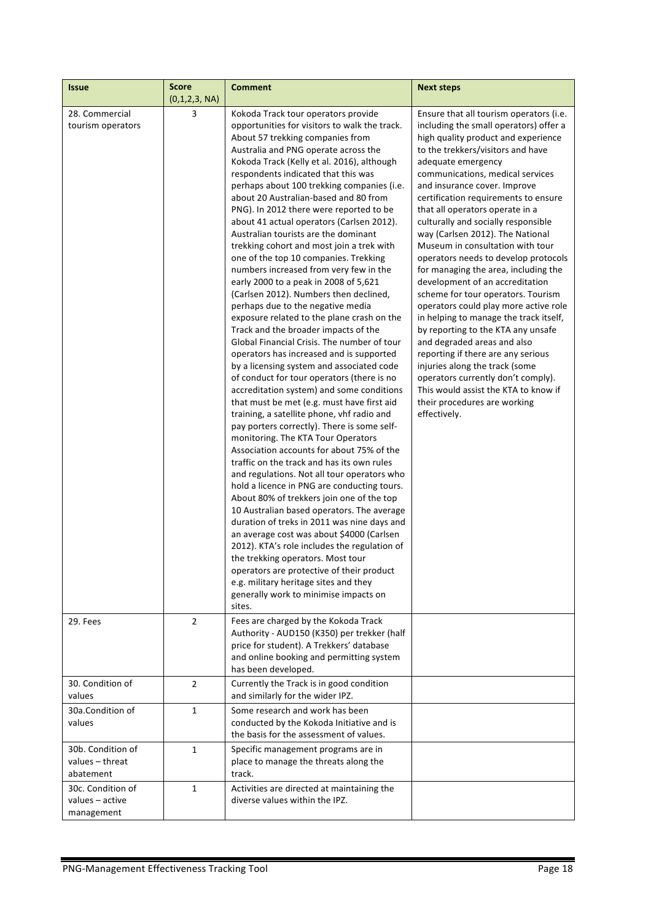| <b>Issue</b>                                       | <b>Score</b><br>(0,1,2,3, NA) | <b>Comment</b>                                                                                                                                                                                                                                                                                                                                                                                                                                                                                                                                                                                                                                                                                                                                                                                                                                                                                                                                                                                                                                                                                                                                                                                                                                                                                                                                                                                                                                                                                                                                                                                                                                                                                                                                                                                                                                               | <b>Next steps</b>                                                                                                                                                                                                                                                                                                                                                                                                                                                                                                                                                                                                                                                                                                                                                                                                                                                                                                                                                        |
|----------------------------------------------------|-------------------------------|--------------------------------------------------------------------------------------------------------------------------------------------------------------------------------------------------------------------------------------------------------------------------------------------------------------------------------------------------------------------------------------------------------------------------------------------------------------------------------------------------------------------------------------------------------------------------------------------------------------------------------------------------------------------------------------------------------------------------------------------------------------------------------------------------------------------------------------------------------------------------------------------------------------------------------------------------------------------------------------------------------------------------------------------------------------------------------------------------------------------------------------------------------------------------------------------------------------------------------------------------------------------------------------------------------------------------------------------------------------------------------------------------------------------------------------------------------------------------------------------------------------------------------------------------------------------------------------------------------------------------------------------------------------------------------------------------------------------------------------------------------------------------------------------------------------------------------------------------------------|--------------------------------------------------------------------------------------------------------------------------------------------------------------------------------------------------------------------------------------------------------------------------------------------------------------------------------------------------------------------------------------------------------------------------------------------------------------------------------------------------------------------------------------------------------------------------------------------------------------------------------------------------------------------------------------------------------------------------------------------------------------------------------------------------------------------------------------------------------------------------------------------------------------------------------------------------------------------------|
| 28. Commercial<br>tourism operators                | 3                             | Kokoda Track tour operators provide<br>opportunities for visitors to walk the track.<br>About 57 trekking companies from<br>Australia and PNG operate across the<br>Kokoda Track (Kelly et al. 2016), although<br>respondents indicated that this was<br>perhaps about 100 trekking companies (i.e.<br>about 20 Australian-based and 80 from<br>PNG). In 2012 there were reported to be<br>about 41 actual operators (Carlsen 2012).<br>Australian tourists are the dominant<br>trekking cohort and most join a trek with<br>one of the top 10 companies. Trekking<br>numbers increased from very few in the<br>early 2000 to a peak in 2008 of 5,621<br>(Carlsen 2012). Numbers then declined,<br>perhaps due to the negative media<br>exposure related to the plane crash on the<br>Track and the broader impacts of the<br>Global Financial Crisis. The number of tour<br>operators has increased and is supported<br>by a licensing system and associated code<br>of conduct for tour operators (there is no<br>accreditation system) and some conditions<br>that must be met (e.g. must have first aid<br>training, a satellite phone, vhf radio and<br>pay porters correctly). There is some self-<br>monitoring. The KTA Tour Operators<br>Association accounts for about 75% of the<br>traffic on the track and has its own rules<br>and regulations. Not all tour operators who<br>hold a licence in PNG are conducting tours.<br>About 80% of trekkers join one of the top<br>10 Australian based operators. The average<br>duration of treks in 2011 was nine days and<br>an average cost was about \$4000 (Carlsen<br>2012). KTA's role includes the regulation of<br>the trekking operators. Most tour<br>operators are protective of their product<br>e.g. military heritage sites and they<br>generally work to minimise impacts on<br>sites. | Ensure that all tourism operators (i.e.<br>including the small operators) offer a<br>high quality product and experience<br>to the trekkers/visitors and have<br>adequate emergency<br>communications, medical services<br>and insurance cover. Improve<br>certification requirements to ensure<br>that all operators operate in a<br>culturally and socially responsible<br>way (Carlsen 2012). The National<br>Museum in consultation with tour<br>operators needs to develop protocols<br>for managing the area, including the<br>development of an accreditation<br>scheme for tour operators. Tourism<br>operators could play more active role<br>in helping to manage the track itself,<br>by reporting to the KTA any unsafe<br>and degraded areas and also<br>reporting if there are any serious<br>injuries along the track (some<br>operators currently don't comply).<br>This would assist the KTA to know if<br>their procedures are working<br>effectively. |
| 29. Fees                                           | $\overline{2}$                | Fees are charged by the Kokoda Track<br>Authority - AUD150 (K350) per trekker (half<br>price for student). A Trekkers' database<br>and online booking and permitting system<br>has been developed.                                                                                                                                                                                                                                                                                                                                                                                                                                                                                                                                                                                                                                                                                                                                                                                                                                                                                                                                                                                                                                                                                                                                                                                                                                                                                                                                                                                                                                                                                                                                                                                                                                                           |                                                                                                                                                                                                                                                                                                                                                                                                                                                                                                                                                                                                                                                                                                                                                                                                                                                                                                                                                                          |
| 30. Condition of<br>values                         | $\overline{2}$                | Currently the Track is in good condition<br>and similarly for the wider IPZ.                                                                                                                                                                                                                                                                                                                                                                                                                                                                                                                                                                                                                                                                                                                                                                                                                                                                                                                                                                                                                                                                                                                                                                                                                                                                                                                                                                                                                                                                                                                                                                                                                                                                                                                                                                                 |                                                                                                                                                                                                                                                                                                                                                                                                                                                                                                                                                                                                                                                                                                                                                                                                                                                                                                                                                                          |
| 30a.Condition of<br>values                         | $\mathbf{1}$                  | Some research and work has been<br>conducted by the Kokoda Initiative and is<br>the basis for the assessment of values.                                                                                                                                                                                                                                                                                                                                                                                                                                                                                                                                                                                                                                                                                                                                                                                                                                                                                                                                                                                                                                                                                                                                                                                                                                                                                                                                                                                                                                                                                                                                                                                                                                                                                                                                      |                                                                                                                                                                                                                                                                                                                                                                                                                                                                                                                                                                                                                                                                                                                                                                                                                                                                                                                                                                          |
| 30b. Condition of<br>values - threat<br>abatement  | $\mathbf{1}$                  | Specific management programs are in<br>place to manage the threats along the<br>track.                                                                                                                                                                                                                                                                                                                                                                                                                                                                                                                                                                                                                                                                                                                                                                                                                                                                                                                                                                                                                                                                                                                                                                                                                                                                                                                                                                                                                                                                                                                                                                                                                                                                                                                                                                       |                                                                                                                                                                                                                                                                                                                                                                                                                                                                                                                                                                                                                                                                                                                                                                                                                                                                                                                                                                          |
| 30c. Condition of<br>values - active<br>management | $\mathbf{1}$                  | Activities are directed at maintaining the<br>diverse values within the IPZ.                                                                                                                                                                                                                                                                                                                                                                                                                                                                                                                                                                                                                                                                                                                                                                                                                                                                                                                                                                                                                                                                                                                                                                                                                                                                                                                                                                                                                                                                                                                                                                                                                                                                                                                                                                                 |                                                                                                                                                                                                                                                                                                                                                                                                                                                                                                                                                                                                                                                                                                                                                                                                                                                                                                                                                                          |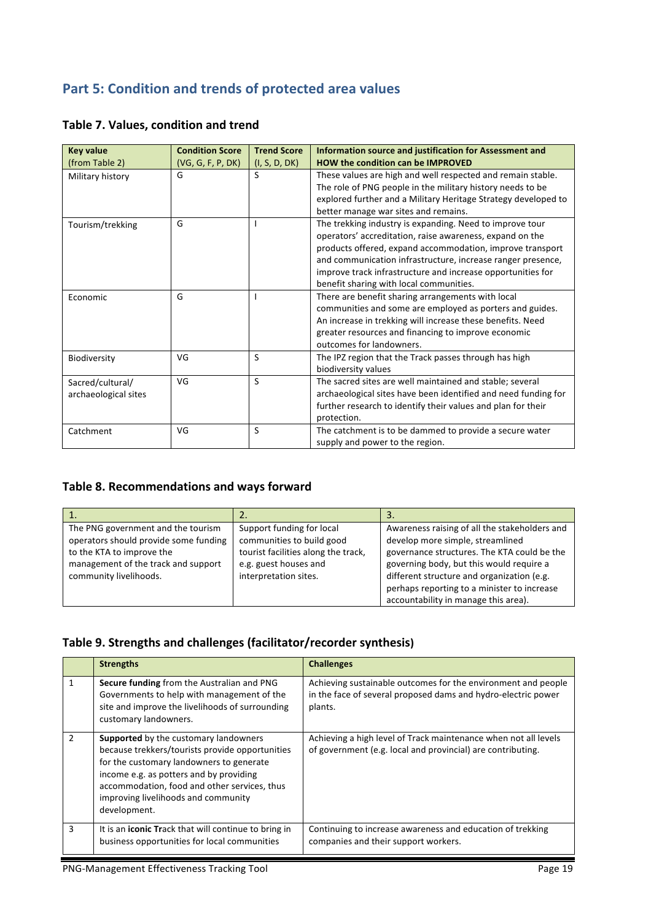# **Part 5: Condition and trends of protected area values**

| <b>Key value</b>     | <b>Condition Score</b> | <b>Trend Score</b> | Information source and justification for Assessment and        |
|----------------------|------------------------|--------------------|----------------------------------------------------------------|
| (from Table 2)       | (VG, G, F, P, DK)      | (I, S, D, DK)      | <b>HOW the condition can be IMPROVED</b>                       |
| Military history     | G                      | S                  | These values are high and well respected and remain stable.    |
|                      |                        |                    | The role of PNG people in the military history needs to be     |
|                      |                        |                    | explored further and a Military Heritage Strategy developed to |
|                      |                        |                    | better manage war sites and remains.                           |
| Tourism/trekking     | G                      |                    | The trekking industry is expanding. Need to improve tour       |
|                      |                        |                    | operators' accreditation, raise awareness, expand on the       |
|                      |                        |                    | products offered, expand accommodation, improve transport      |
|                      |                        |                    | and communication infrastructure, increase ranger presence,    |
|                      |                        |                    | improve track infrastructure and increase opportunities for    |
|                      |                        |                    | benefit sharing with local communities.                        |
| Economic             | G                      |                    | There are benefit sharing arrangements with local              |
|                      |                        |                    | communities and some are employed as porters and guides.       |
|                      |                        |                    | An increase in trekking will increase these benefits. Need     |
|                      |                        |                    | greater resources and financing to improve economic            |
|                      |                        |                    | outcomes for landowners.                                       |
| Biodiversity         | VG                     | S                  | The IPZ region that the Track passes through has high          |
|                      |                        |                    | biodiversity values                                            |
| Sacred/cultural/     | VG                     | <sub>S</sub>       | The sacred sites are well maintained and stable; several       |
| archaeological sites |                        |                    | archaeological sites have been identified and need funding for |
|                      |                        |                    | further research to identify their values and plan for their   |
|                      |                        |                    | protection.                                                    |
| Catchment            | VG                     | S                  | The catchment is to be dammed to provide a secure water        |
|                      |                        |                    | supply and power to the region.                                |

# **Table 7. Values, condition and trend**

#### Table 8. Recommendations and ways forward

| π.                                                                                                                                                                        |                                                                                                                                                 | 3.                                                                                                                                                                                                                                                                                                                |
|---------------------------------------------------------------------------------------------------------------------------------------------------------------------------|-------------------------------------------------------------------------------------------------------------------------------------------------|-------------------------------------------------------------------------------------------------------------------------------------------------------------------------------------------------------------------------------------------------------------------------------------------------------------------|
| The PNG government and the tourism<br>operators should provide some funding<br>to the KTA to improve the<br>management of the track and support<br>community livelihoods. | Support funding for local<br>communities to build good<br>tourist facilities along the track,<br>e.g. guest houses and<br>interpretation sites. | Awareness raising of all the stakeholders and<br>develop more simple, streamlined<br>governance structures. The KTA could be the<br>governing body, but this would require a<br>different structure and organization (e.g.<br>perhaps reporting to a minister to increase<br>accountability in manage this area). |

#### Table 9. Strengths and challenges (facilitator/recorder synthesis)

|   | <b>Strengths</b>                                                                                                                                                                                                                                                                              | <b>Challenges</b>                                                                                                                         |
|---|-----------------------------------------------------------------------------------------------------------------------------------------------------------------------------------------------------------------------------------------------------------------------------------------------|-------------------------------------------------------------------------------------------------------------------------------------------|
| 1 | Secure funding from the Australian and PNG<br>Governments to help with management of the<br>site and improve the livelihoods of surrounding<br>customary landowners.                                                                                                                          | Achieving sustainable outcomes for the environment and people<br>in the face of several proposed dams and hydro-electric power<br>plants. |
| 2 | <b>Supported</b> by the customary landowners<br>because trekkers/tourists provide opportunities<br>for the customary landowners to generate<br>income e.g. as potters and by providing<br>accommodation, food and other services, thus<br>improving livelihoods and community<br>development. | Achieving a high level of Track maintenance when not all levels<br>of government (e.g. local and provincial) are contributing.            |
| 3 | It is an <b>iconic Track</b> that will continue to bring in<br>business opportunities for local communities                                                                                                                                                                                   | Continuing to increase awareness and education of trekking<br>companies and their support workers.                                        |